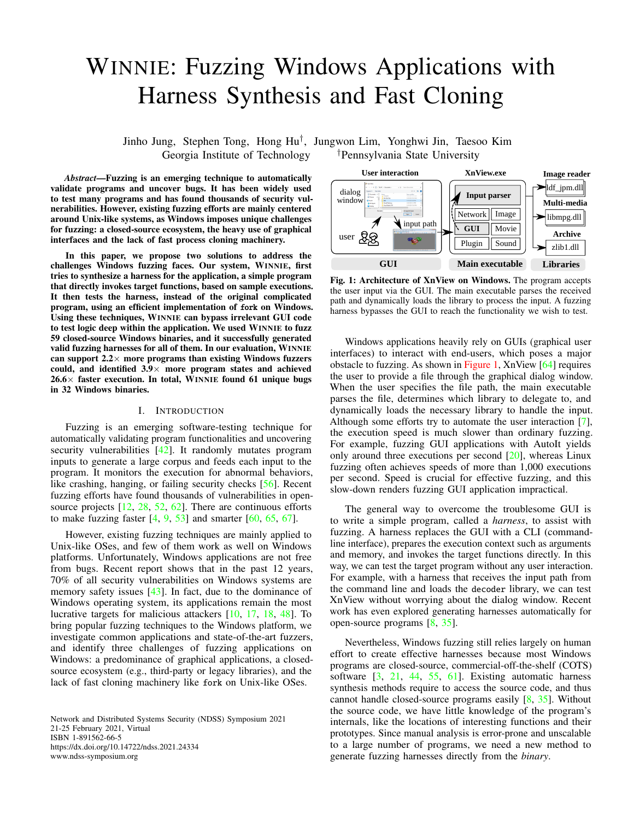# WINNIE: Fuzzing Windows Applications with Harness Synthesis and Fast Cloning

Jinho Jung, Stephen Tong, Hong Hu† , Jungwon Lim, Yonghwi Jin, Taesoo Kim Georgia Institute of Technology <sup>†</sup>Pennsylvania State University

*Abstract*—Fuzzing is an emerging technique to automatically validate programs and uncover bugs. It has been widely used to test many programs and has found thousands of security vulnerabilities. However, existing fuzzing efforts are mainly centered around Unix-like systems, as Windows imposes unique challenges for fuzzing: a closed-source ecosystem, the heavy use of graphical interfaces and the lack of fast process cloning machinery.

In this paper, we propose two solutions to address the challenges Windows fuzzing faces. Our system, WINNIE, first tries to synthesize a harness for the application, a simple program that directly invokes target functions, based on sample executions. It then tests the harness, instead of the original complicated program, using an efficient implementation of fork on Windows. Using these techniques, WINNIE can bypass irrelevant GUI code to test logic deep within the application. We used WINNIE to fuzz 59 closed-source Windows binaries, and it successfully generated valid fuzzing harnesses for all of them. In our evaluation, WINNIE can support  $2.2 \times$  more programs than existing Windows fuzzers could, and identified  $3.9\times$  more program states and achieved  $26.6\times$  faster execution. In total, WINNIE found 61 unique bugs in 32 Windows binaries.

## I. INTRODUCTION

Fuzzing is an emerging software-testing technique for automatically validating program functionalities and uncovering security vulnerabilities [\[42\]](#page-13-0). It randomly mutates program inputs to generate a large corpus and feeds each input to the program. It monitors the execution for abnormal behaviors, like crashing, hanging, or failing security checks [\[56\]](#page-14-0). Recent fuzzing efforts have found thousands of vulnerabilities in opensource projects  $[12, 28, 52, 62]$  $[12, 28, 52, 62]$  $[12, 28, 52, 62]$  $[12, 28, 52, 62]$  $[12, 28, 52, 62]$  $[12, 28, 52, 62]$  $[12, 28, 52, 62]$ . There are continuous efforts to make fuzzing faster  $[4, 9, 53]$  $[4, 9, 53]$  $[4, 9, 53]$  $[4, 9, 53]$  $[4, 9, 53]$  and smarter  $[60, 65, 67]$  $[60, 65, 67]$  $[60, 65, 67]$  $[60, 65, 67]$  $[60, 65, 67]$ .

However, existing fuzzing techniques are mainly applied to Unix-like OSes, and few of them work as well on Windows platforms. Unfortunately, Windows applications are not free from bugs. Recent report shows that in the past 12 years, 70% of all security vulnerabilities on Windows systems are memory safety issues [\[43\]](#page-13-5). In fact, due to the dominance of Windows operating system, its applications remain the most lucrative targets for malicious attackers [\[10,](#page-13-6) [17,](#page-13-7) [18,](#page-13-8) [48\]](#page-13-9). To bring popular fuzzing techniques to the Windows platform, we investigate common applications and state-of-the-art fuzzers, and identify three challenges of fuzzing applications on Windows: a predominance of graphical applications, a closedsource ecosystem (e.g., third-party or legacy libraries), and the lack of fast cloning machinery like fork on Unix-like OSes.

Network and Distributed Systems Security (NDSS) Symposium 2021 21-25 February 2021, Virtual ISBN 1-891562-66-5 https://dx.doi.org/10.14722/ndss.2021.24334 www.ndss-symposium.org

<span id="page-0-0"></span>

Fig. 1: Architecture of XnView on Windows. The program accepts the user input via the GUI. The main executable parses the received path and dynamically loads the library to process the input. A fuzzing harness bypasses the GUI to reach the functionality we wish to test.

Windows applications heavily rely on GUIs (graphical user interfaces) to interact with end-users, which poses a major obstacle to fuzzing. As shown in [Figure 1,](#page-0-0) XnView [\[64\]](#page-14-7) requires the user to provide a file through the graphical dialog window. When the user specifies the file path, the main executable parses the file, determines which library to delegate to, and dynamically loads the necessary library to handle the input. Although some efforts try to automate the user interaction [\[7\]](#page-13-10), the execution speed is much slower than ordinary fuzzing. For example, fuzzing GUI applications with AutoIt yields only around three executions per second [\[20\]](#page-13-11), whereas Linux fuzzing often achieves speeds of more than 1,000 executions per second. Speed is crucial for effective fuzzing, and this slow-down renders fuzzing GUI application impractical.

The general way to overcome the troublesome GUI is to write a simple program, called a *harness*, to assist with fuzzing. A harness replaces the GUI with a CLI (commandline interface), prepares the execution context such as arguments and memory, and invokes the target functions directly. In this way, we can test the target program without any user interaction. For example, with a harness that receives the input path from the command line and loads the decoder library, we can test XnView without worrying about the dialog window. Recent work has even explored generating harnesses automatically for open-source programs [\[8,](#page-13-12) [35\]](#page-13-13).

Nevertheless, Windows fuzzing still relies largely on human effort to create effective harnesses because most Windows programs are closed-source, commercial-off-the-shelf (COTS) software [\[3,](#page-13-14) [21,](#page-13-15) [44,](#page-13-16) [55,](#page-14-8) [61\]](#page-14-9). Existing automatic harness synthesis methods require to access the source code, and thus cannot handle closed-source programs easily [\[8,](#page-13-12) [35\]](#page-13-13). Without the source code, we have little knowledge of the program's internals, like the locations of interesting functions and their prototypes. Since manual analysis is error-prone and unscalable to a large number of programs, we need a new method to generate fuzzing harnesses directly from the *binary*.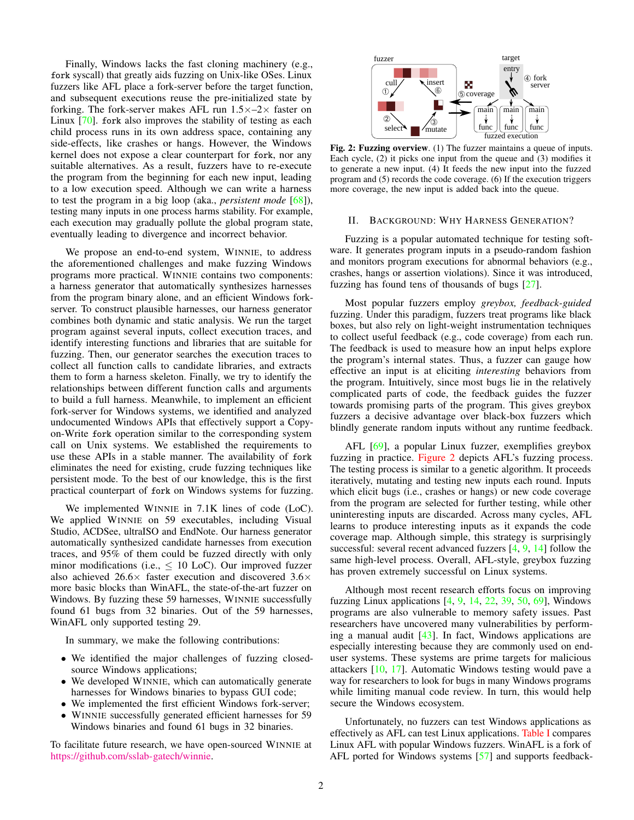Finally, Windows lacks the fast cloning machinery (e.g., fork syscall) that greatly aids fuzzing on Unix-like OSes. Linux fuzzers like AFL place a fork-server before the target function, and subsequent executions reuse the pre-initialized state by forking. The fork-server makes AFL run  $1.5 \times -2 \times$  faster on Linux [\[70\]](#page-14-10). fork also improves the stability of testing as each child process runs in its own address space, containing any side-effects, like crashes or hangs. However, the Windows kernel does not expose a clear counterpart for fork, nor any suitable alternatives. As a result, fuzzers have to re-execute the program from the beginning for each new input, leading to a low execution speed. Although we can write a harness to test the program in a big loop (aka., *persistent mode* [\[68\]](#page-14-11)), testing many inputs in one process harms stability. For example, each execution may gradually pollute the global program state, eventually leading to divergence and incorrect behavior.

We propose an end-to-end system, WINNIE, to address the aforementioned challenges and make fuzzing Windows programs more practical. WINNIE contains two components: a harness generator that automatically synthesizes harnesses from the program binary alone, and an efficient Windows forkserver. To construct plausible harnesses, our harness generator combines both dynamic and static analysis. We run the target program against several inputs, collect execution traces, and identify interesting functions and libraries that are suitable for fuzzing. Then, our generator searches the execution traces to collect all function calls to candidate libraries, and extracts them to form a harness skeleton. Finally, we try to identify the relationships between different function calls and arguments to build a full harness. Meanwhile, to implement an efficient fork-server for Windows systems, we identified and analyzed undocumented Windows APIs that effectively support a Copyon-Write fork operation similar to the corresponding system call on Unix systems. We established the requirements to use these APIs in a stable manner. The availability of fork eliminates the need for existing, crude fuzzing techniques like persistent mode. To the best of our knowledge, this is the first practical counterpart of fork on Windows systems for fuzzing.

We implemented WINNIE in 7.1K lines of code (LoC). We applied WINNIE on 59 executables, including Visual Studio, ACDSee, ultraISO and EndNote. Our harness generator automatically synthesized candidate harnesses from execution traces, and 95% of them could be fuzzed directly with only minor modifications (i.e.,  $\leq 10$  LoC). Our improved fuzzer also achieved  $26.6\times$  faster execution and discovered  $3.6\times$ more basic blocks than WinAFL, the state-of-the-art fuzzer on Windows. By fuzzing these 59 harnesses, WINNIE successfully found 61 bugs from 32 binaries. Out of the 59 harnesses, WinAFL only supported testing 29.

In summary, we make the following contributions:

- We identified the major challenges of fuzzing closedsource Windows applications;
- We developed WINNIE, which can automatically generate harnesses for Windows binaries to bypass GUI code;
- We implemented the first efficient Windows fork-server;
- WINNIE successfully generated efficient harnesses for 59 Windows binaries and found 61 bugs in 32 binaries.

To facilitate future research, we have open-sourced WINNIE at [https://github.com/sslab-gatech/winnie.](https://github.com/sslab-gatech/winnie)

<span id="page-1-0"></span>

Fig. 2: Fuzzing overview. (1) The fuzzer maintains a queue of inputs. Each cycle, (2) it picks one input from the queue and (3) modifies it to generate a new input. (4) It feeds the new input into the fuzzed program and (5) records the code coverage. (6) If the execution triggers more coverage, the new input is added back into the queue.

## II. BACKGROUND: WHY HARNESS GENERATION?

Fuzzing is a popular automated technique for testing software. It generates program inputs in a pseudo-random fashion and monitors program executions for abnormal behaviors (e.g., crashes, hangs or assertion violations). Since it was introduced, fuzzing has found tens of thousands of bugs [\[27\]](#page-13-17).

Most popular fuzzers employ *greybox, feedback-guided* fuzzing. Under this paradigm, fuzzers treat programs like black boxes, but also rely on light-weight instrumentation techniques to collect useful feedback (e.g., code coverage) from each run. The feedback is used to measure how an input helps explore the program's internal states. Thus, a fuzzer can gauge how effective an input is at eliciting *interesting* behaviors from the program. Intuitively, since most bugs lie in the relatively complicated parts of code, the feedback guides the fuzzer towards promising parts of the program. This gives greybox fuzzers a decisive advantage over black-box fuzzers which blindly generate random inputs without any runtime feedback.

AFL [\[69\]](#page-14-12), a popular Linux fuzzer, exemplifies greybox fuzzing in practice. [Figure 2](#page-1-0) depicts AFL's fuzzing process. The testing process is similar to a genetic algorithm. It proceeds iteratively, mutating and testing new inputs each round. Inputs which elicit bugs (*i.e.*, crashes or hangs) or new code coverage from the program are selected for further testing, while other uninteresting inputs are discarded. Across many cycles, AFL learns to produce interesting inputs as it expands the code coverage map. Although simple, this strategy is surprisingly successful: several recent advanced fuzzers [\[4,](#page-13-3) [9,](#page-13-4) [14\]](#page-13-18) follow the same high-level process. Overall, AFL-style, greybox fuzzing has proven extremely successful on Linux systems.

Although most recent research efforts focus on improving fuzzing Linux applications  $[4, 9, 14, 22, 39, 50, 69]$  $[4, 9, 14, 22, 39, 50, 69]$  $[4, 9, 14, 22, 39, 50, 69]$  $[4, 9, 14, 22, 39, 50, 69]$  $[4, 9, 14, 22, 39, 50, 69]$  $[4, 9, 14, 22, 39, 50, 69]$  $[4, 9, 14, 22, 39, 50, 69]$  $[4, 9, 14, 22, 39, 50, 69]$  $[4, 9, 14, 22, 39, 50, 69]$  $[4, 9, 14, 22, 39, 50, 69]$  $[4, 9, 14, 22, 39, 50, 69]$  $[4, 9, 14, 22, 39, 50, 69]$  $[4, 9, 14, 22, 39, 50, 69]$ , Windows programs are also vulnerable to memory safety issues. Past researchers have uncovered many vulnerabilities by performing a manual audit [\[43\]](#page-13-5). In fact, Windows applications are especially interesting because they are commonly used on enduser systems. These systems are prime targets for malicious attackers [\[10,](#page-13-6) [17\]](#page-13-7). Automatic Windows testing would pave a way for researchers to look for bugs in many Windows programs while limiting manual code review. In turn, this would help secure the Windows ecosystem.

Unfortunately, no fuzzers can test Windows applications as effectively as AFL can test Linux applications. [Table I](#page-2-0) compares Linux AFL with popular Windows fuzzers. WinAFL is a fork of AFL ported for Windows systems [\[57\]](#page-14-13) and supports feedback-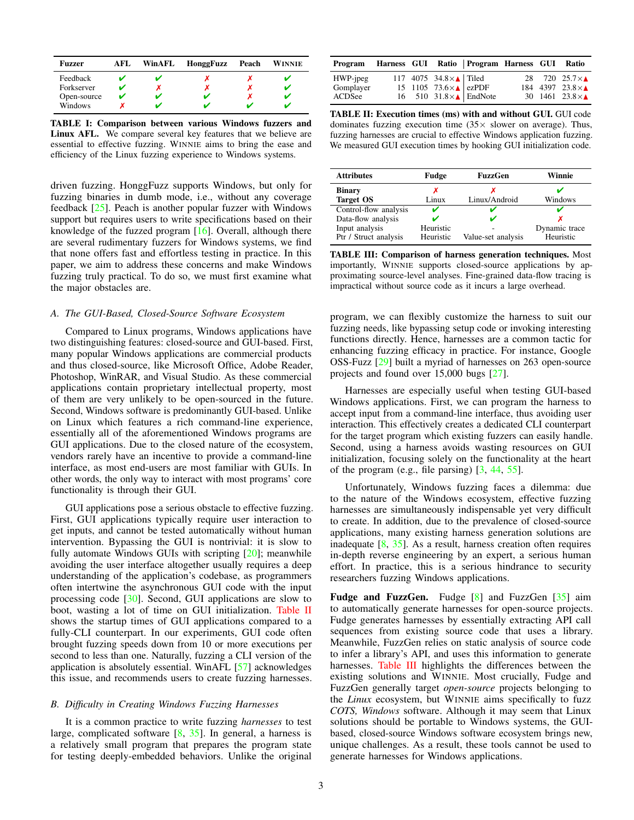<span id="page-2-0"></span>

| Fuzzer      | AFL. | WinAFL | HonggFuzz | Peach | <b>WINNIE</b> |
|-------------|------|--------|-----------|-------|---------------|
| Feedback    |      |        |           |       |               |
| Forkserver  | v    |        |           |       |               |
| Open-source | v    |        |           |       |               |
| Windows     |      |        |           |       |               |

TABLE I: Comparison between various Windows fuzzers and Linux AFL. We compare several key features that we believe are essential to effective fuzzing. WINNIE aims to bring the ease and efficiency of the Linux fuzzing experience to Windows systems.

driven fuzzing. HonggFuzz supports Windows, but only for fuzzing binaries in dumb mode, i.e., without any coverage feedback [\[25\]](#page-13-22). Peach is another popular fuzzer with Windows support but requires users to write specifications based on their knowledge of the fuzzed program  $[16]$ . Overall, although there are several rudimentary fuzzers for Windows systems, we find that none offers fast and effortless testing in practice. In this paper, we aim to address these concerns and make Windows fuzzing truly practical. To do so, we must first examine what the major obstacles are.

## *A. The GUI-Based, Closed-Source Software Ecosystem*

Compared to Linux programs, Windows applications have two distinguishing features: closed-source and GUI-based. First, many popular Windows applications are commercial products and thus closed-source, like Microsoft Office, Adobe Reader, Photoshop, WinRAR, and Visual Studio. As these commercial applications contain proprietary intellectual property, most of them are very unlikely to be open-sourced in the future. Second, Windows software is predominantly GUI-based. Unlike on Linux which features a rich command-line experience, essentially all of the aforementioned Windows programs are GUI applications. Due to the closed nature of the ecosystem, vendors rarely have an incentive to provide a command-line interface, as most end-users are most familiar with GUIs. In other words, the only way to interact with most programs' core functionality is through their GUI.

GUI applications pose a serious obstacle to effective fuzzing. First, GUI applications typically require user interaction to get inputs, and cannot be tested automatically without human intervention. Bypassing the GUI is nontrivial: it is slow to fully automate Windows GUIs with scripting [\[20\]](#page-13-11); meanwhile avoiding the user interface altogether usually requires a deep understanding of the application's codebase, as programmers often intertwine the asynchronous GUI code with the input processing code [\[30\]](#page-13-24). Second, GUI applications are slow to boot, wasting a lot of time on GUI initialization. [Table II](#page-2-1) shows the startup times of GUI applications compared to a fully-CLI counterpart. In our experiments, GUI code often brought fuzzing speeds down from 10 or more executions per second to less than one. Naturally, fuzzing a CLI version of the application is absolutely essential. WinAFL [\[57\]](#page-14-13) acknowledges this issue, and recommends users to create fuzzing harnesses.

## <span id="page-2-3"></span>*B. Difficulty in Creating Windows Fuzzing Harnesses*

It is a common practice to write fuzzing *harnesses* to test large, complicated software  $[8, 35]$  $[8, 35]$  $[8, 35]$ . In general, a harness is a relatively small program that prepares the program state for testing deeply-embedded behaviors. Unlike the original

<span id="page-2-1"></span>

| Program Harness GUI Ratio   Program Harness GUI Ratio |  |                                                                                             |  |                         |
|-------------------------------------------------------|--|---------------------------------------------------------------------------------------------|--|-------------------------|
| HWP-jpeg                                              |  | 117 4075 34.8 $\times$ Tiled<br>15 1105 73.6 $\times$ ezPDF<br>16 510 31.8 $\times$ EndNote |  | 28 720 25.7 $\times$ A  |
| Gomplayer                                             |  |                                                                                             |  | 184 4397 23.8 $\times$  |
| ACDSee                                                |  |                                                                                             |  | 30 1461 23.8 $\times$ A |

TABLE II: Execution times (ms) with and without GUI. GUI code dominates fuzzing execution time  $(35 \times$  slower on average). Thus, fuzzing harnesses are crucial to effective Windows application fuzzing. We measured GUI execution times by hooking GUI initialization code.

<span id="page-2-2"></span>

| <b>Attributes</b>     | Fudge     | <b>FuzzGen</b>     | Winnie        |
|-----------------------|-----------|--------------------|---------------|
| <b>Binary</b>         | х         |                    |               |
| <b>Target OS</b>      | Linux     | Linux/Android      | Windows       |
| Control-flow analysis |           |                    |               |
| Data-flow analysis    |           |                    |               |
| Input analysis        | Heuristic |                    | Dynamic trace |
| Ptr / Struct analysis | Heuristic | Value-set analysis | Heuristic     |

TABLE III: Comparison of harness generation techniques. Most importantly, WINNIE supports closed-source applications by approximating source-level analyses. Fine-grained data-flow tracing is impractical without source code as it incurs a large overhead.

program, we can flexibly customize the harness to suit our fuzzing needs, like bypassing setup code or invoking interesting functions directly. Hence, harnesses are a common tactic for enhancing fuzzing efficacy in practice. For instance, Google OSS-Fuzz [\[29\]](#page-13-25) built a myriad of harnesses on 263 open-source projects and found over 15,000 bugs [\[27\]](#page-13-17).

Harnesses are especially useful when testing GUI-based Windows applications. First, we can program the harness to accept input from a command-line interface, thus avoiding user interaction. This effectively creates a dedicated CLI counterpart for the target program which existing fuzzers can easily handle. Second, using a harness avoids wasting resources on GUI initialization, focusing solely on the functionality at the heart of the program (e.g., file parsing) [\[3,](#page-13-14) [44,](#page-13-16) [55\]](#page-14-8).

Unfortunately, Windows fuzzing faces a dilemma: due to the nature of the Windows ecosystem, effective fuzzing harnesses are simultaneously indispensable yet very difficult to create. In addition, due to the prevalence of closed-source applications, many existing harness generation solutions are inadequate  $[8, 35]$  $[8, 35]$  $[8, 35]$ . As a result, harness creation often requires in-depth reverse engineering by an expert, a serious human effort. In practice, this is a serious hindrance to security researchers fuzzing Windows applications.

Fudge and FuzzGen. Fudge [\[8\]](#page-13-12) and FuzzGen [\[35\]](#page-13-13) aim to automatically generate harnesses for open-source projects. Fudge generates harnesses by essentially extracting API call sequences from existing source code that uses a library. Meanwhile, FuzzGen relies on static analysis of source code to infer a library's API, and uses this information to generate harnesses. [Table III](#page-2-2) highlights the differences between the existing solutions and WINNIE. Most crucially, Fudge and FuzzGen generally target *open-source* projects belonging to the *Linux* ecosystem, but WINNIE aims specifically to fuzz *COTS, Windows* software. Although it may seem that Linux solutions should be portable to Windows systems, the GUIbased, closed-source Windows software ecosystem brings new, unique challenges. As a result, these tools cannot be used to generate harnesses for Windows applications.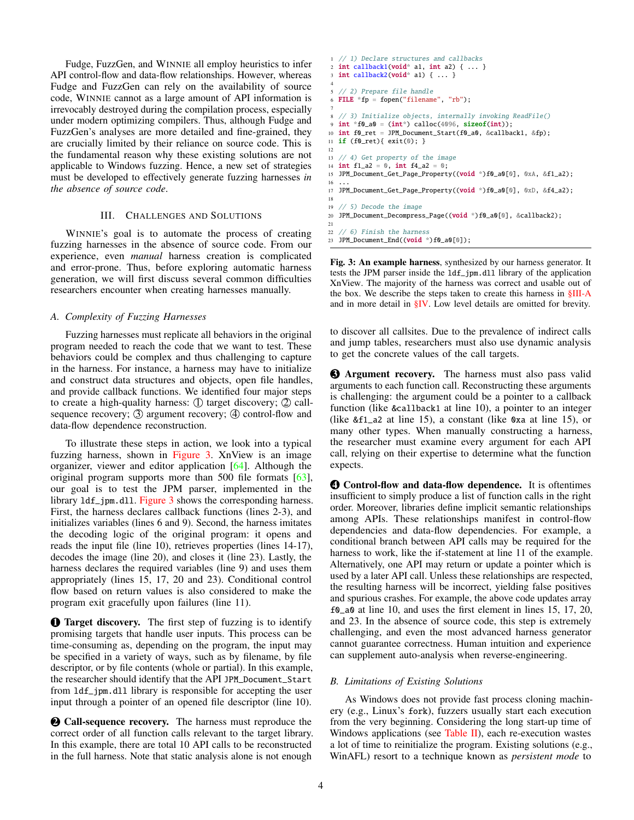Fudge, FuzzGen, and WINNIE all employ heuristics to infer API control-flow and data-flow relationships. However, whereas Fudge and FuzzGen can rely on the availability of source code, WINNIE cannot as a large amount of API information is irrevocably destroyed during the compilation process, especially under modern optimizing compilers. Thus, although Fudge and FuzzGen's analyses are more detailed and fine-grained, they are crucially limited by their reliance on source code. This is the fundamental reason why these existing solutions are not applicable to Windows fuzzing. Hence, a new set of strategies must be developed to effectively generate fuzzing harnesses *in the absence of source code*.

# III. CHALLENGES AND SOLUTIONS

WINNIE's goal is to automate the process of creating fuzzing harnesses in the absence of source code. From our experience, even *manual* harness creation is complicated and error-prone. Thus, before exploring automatic harness generation, we will first discuss several common difficulties researchers encounter when creating harnesses manually.

## <span id="page-3-1"></span>*A. Complexity of Fuzzing Harnesses*

Fuzzing harnesses must replicate all behaviors in the original program needed to reach the code that we want to test. These behaviors could be complex and thus challenging to capture in the harness. For instance, a harness may have to initialize and construct data structures and objects, open file handles, and provide callback functions. We identified four major steps to create a high-quality harness:  $\mathbb D$  target discovery;  $\mathbb D$  callsequence recovery;  $\circled{3}$  argument recovery;  $\circled{4}$  control-flow and data-flow dependence reconstruction.

To illustrate these steps in action, we look into a typical fuzzing harness, shown in [Figure 3.](#page-3-0) XnView is an image organizer, viewer and editor application [\[64\]](#page-14-7). Although the original program supports more than 500 file formats [\[63\]](#page-14-14), our goal is to test the JPM parser, implemented in the library  $1 df_jpm. d11.$  [Figure 3](#page-3-0) shows the corresponding harness. First, the harness declares callback functions (lines 2-3), and initializes variables (lines 6 and 9). Second, the harness imitates the decoding logic of the original program: it opens and reads the input file (line 10), retrieves properties (lines 14-17), decodes the image (line 20), and closes it (line 23). Lastly, the harness declares the required variables (line 9) and uses them appropriately (lines 15, 17, 20 and 23). Conditional control flow based on return values is also considered to make the program exit gracefully upon failures (line 11).

**1** Target discovery. The first step of fuzzing is to identify promising targets that handle user inputs. This process can be time-consuming as, depending on the program, the input may be specified in a variety of ways, such as by filename, by file descriptor, or by file contents (whole or partial). In this example, the researcher should identify that the API JPM\_Document\_Start from ldf\_jpm.dll library is responsible for accepting the user input through a pointer of an opened file descriptor (line 10).

2 Call-sequence recovery. The harness must reproduce the correct order of all function calls relevant to the target library. In this example, there are total 10 API calls to be reconstructed in the full harness. Note that static analysis alone is not enough

```
1 // 1) Declare structures and callbacks
 2 int callback1(void* a1, int a2) { ... }
3 int callback2(void* a1) { ... }
 4
   5 // 2) Prepare file handle
  FILE *fp = fopen("filename", "rb");
 7
   8 // 3) Initialize objects, internally invoking ReadFile()
  int *f0_a0 = (int*) calloc(4096, sizeof(int));10 int f0_ret = JPM_Document_Start(f0_a0, &callback1, &fp);
11 if (f0_ret){ exit(0); }
12
13 // 4) Get property of the image
14 int f1_a2 = 0, int f4_a2 = 0;
15 JPM_Document_Get_Page_Property((void *)f0_a0[0], 0xA, &f1_a2);
16 \ldots17 JPM_Document_Get_Page_Property((void *)f0_a0[0], 0xD, &f4_a2);
18
19 // 5) Decode the image
20 JPM_Document_Decompress_Page((void *)f0_a0[0], &callback2);
21
22 // 6) Finish the harness
```
23 JPM\_Document\_End((void \*)f0\_a0[0]);

Fig. 3: An example harness, synthesized by our harness generator. It tests the JPM parser inside the ldf\_jpm.dll library of the application XnView. The majority of the harness was correct and usable out of the box. We describe the steps taken to create this harness in [§III-A](#page-3-1) and in more detail in [§IV.](#page-4-0) Low level details are omitted for brevity.

to discover all callsites. Due to the prevalence of indirect calls and jump tables, researchers must also use dynamic analysis to get the concrete values of the call targets.

**3** Argument recovery. The harness must also pass valid arguments to each function call. Reconstructing these arguments is challenging: the argument could be a pointer to a callback function (like &callback1 at line 10), a pointer to an integer (like &f1\_a2 at line 15), a constant (like 0xa at line 15), or many other types. When manually constructing a harness, the researcher must examine every argument for each API call, relying on their expertise to determine what the function expects.

4 Control-flow and data-flow dependence. It is oftentimes insufficient to simply produce a list of function calls in the right order. Moreover, libraries define implicit semantic relationships among APIs. These relationships manifest in control-flow dependencies and data-flow dependencies. For example, a conditional branch between API calls may be required for the harness to work, like the if-statement at line 11 of the example. Alternatively, one API may return or update a pointer which is used by a later API call. Unless these relationships are respected, the resulting harness will be incorrect, yielding false positives and spurious crashes. For example, the above code updates array f0\_a0 at line 10, and uses the first element in lines 15, 17, 20, and 23. In the absence of source code, this step is extremely challenging, and even the most advanced harness generator cannot guarantee correctness. Human intuition and experience can supplement auto-analysis when reverse-engineering.

## <span id="page-3-2"></span>*B. Limitations of Existing Solutions*

As Windows does not provide fast process cloning machinery (e.g., Linux's fork), fuzzers usually start each execution from the very beginning. Considering the long start-up time of Windows applications (see [Table II\)](#page-2-1), each re-execution wastes a lot of time to reinitialize the program. Existing solutions (e.g., WinAFL) resort to a technique known as *persistent mode* to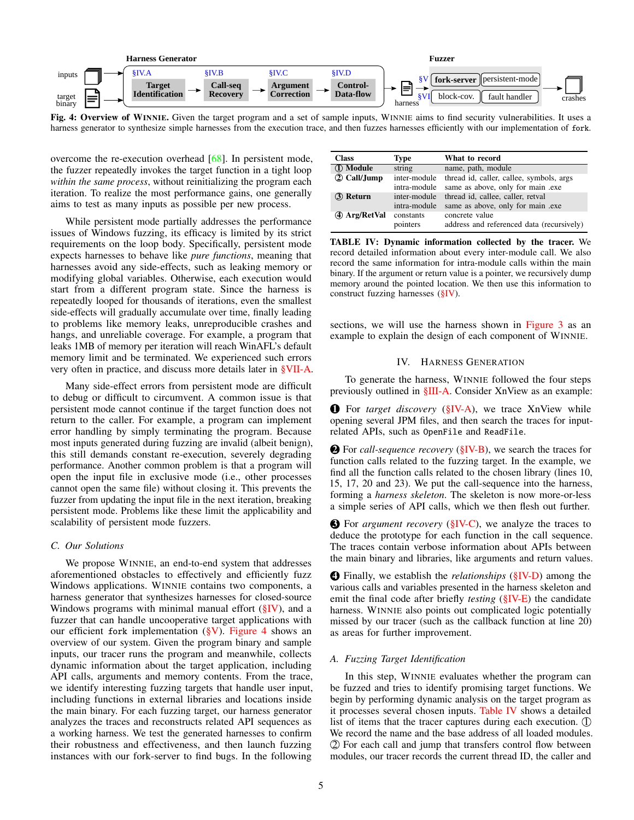<span id="page-4-1"></span>

Fig. 4: Overview of WINNIE. Given the target program and a set of sample inputs, WINNIE aims to find security vulnerabilities. It uses a harness generator to synthesize simple harnesses from the execution trace, and then fuzzes harnesses efficiently with our implementation of fork.

overcome the re-execution overhead [\[68\]](#page-14-11). In persistent mode, the fuzzer repeatedly invokes the target function in a tight loop *within the same process*, without reinitializing the program each iteration. To realize the most performance gains, one generally aims to test as many inputs as possible per new process.

While persistent mode partially addresses the performance issues of Windows fuzzing, its efficacy is limited by its strict requirements on the loop body. Specifically, persistent mode expects harnesses to behave like *pure functions*, meaning that harnesses avoid any side-effects, such as leaking memory or modifying global variables. Otherwise, each execution would start from a different program state. Since the harness is repeatedly looped for thousands of iterations, even the smallest side-effects will gradually accumulate over time, finally leading to problems like memory leaks, unreproducible crashes and hangs, and unreliable coverage. For example, a program that leaks 1MB of memory per iteration will reach WinAFL's default memory limit and be terminated. We experienced such errors very often in practice, and discuss more details later in [§VII-A.](#page-8-0)

Many side-effect errors from persistent mode are difficult to debug or difficult to circumvent. A common issue is that persistent mode cannot continue if the target function does not return to the caller. For example, a program can implement error handling by simply terminating the program. Because most inputs generated during fuzzing are invalid (albeit benign), this still demands constant re-execution, severely degrading performance. Another common problem is that a program will open the input file in exclusive mode (i.e., other processes cannot open the same file) without closing it. This prevents the fuzzer from updating the input file in the next iteration, breaking persistent mode. Problems like these limit the applicability and scalability of persistent mode fuzzers.

### *C. Our Solutions*

We propose WINNIE, an end-to-end system that addresses aforementioned obstacles to effectively and efficiently fuzz Windows applications. WINNIE contains two components, a harness generator that synthesizes harnesses for closed-source Windows programs with minimal manual effort  $(\S$ IV), and a fuzzer that can handle uncooperative target applications with our efficient fork implementation  $(\S{V})$ . [Figure 4](#page-4-1) shows an overview of our system. Given the program binary and sample inputs, our tracer runs the program and meanwhile, collects dynamic information about the target application, including API calls, arguments and memory contents. From the trace, we identify interesting fuzzing targets that handle user input, including functions in external libraries and locations inside the main binary. For each fuzzing target, our harness generator analyzes the traces and reconstructs related API sequences as a working harness. We test the generated harnesses to confirm their robustness and effectiveness, and then launch fuzzing instances with our fork-server to find bugs. In the following

<span id="page-4-3"></span>

| <b>Class</b>    | Type                         | What to record                                                                |
|-----------------|------------------------------|-------------------------------------------------------------------------------|
| 1 Module        | string                       | name, path, module                                                            |
| 2 Call/Jump     | inter-module<br>intra-module | thread id, caller, callee, symbols, args<br>same as above, only for main .exe |
| <b>3</b> Return | inter-module<br>intra-module | thread id, callee, caller, retval<br>same as above, only for main .exe        |
| 4 Arg/RetVal    | constants<br>pointers        | concrete value<br>address and referenced data (recursively)                   |

TABLE IV: Dynamic information collected by the tracer. We record detailed information about every inter-module call. We also record the same information for intra-module calls within the main binary. If the argument or return value is a pointer, we recursively dump memory around the pointed location. We then use this information to construct fuzzing harnesses [\(§IV\)](#page-4-0).

sections, we will use the harness shown in [Figure 3](#page-3-0) as an example to explain the design of each component of WINNIE.

#### IV. HARNESS GENERATION

<span id="page-4-0"></span>To generate the harness, WINNIE followed the four steps previously outlined in [§III-A.](#page-3-1) Consider XnView as an example:

**1** For *target discovery* [\(§IV-A\)](#page-4-2), we trace XnView while opening several JPM files, and then search the traces for inputrelated APIs, such as OpenFile and ReadFile.

2 For *call-sequence recovery* [\(§IV-B\)](#page-5-0), we search the traces for function calls related to the fuzzing target. In the example, we find all the function calls related to the chosen library (lines 10, 15, 17, 20 and 23). We put the call-sequence into the harness, forming a *harness skeleton*. The skeleton is now more-or-less a simple series of API calls, which we then flesh out further.

3 For *argument recovery* [\(§IV-C\)](#page-6-1), we analyze the traces to deduce the prototype for each function in the call sequence. The traces contain verbose information about APIs between the main binary and libraries, like arguments and return values.

4 Finally, we establish the *relationships* [\(§IV-D\)](#page-6-2) among the various calls and variables presented in the harness skeleton and emit the final code after briefly *testing* [\(§IV-E\)](#page-6-3) the candidate harness. WINNIE also points out complicated logic potentially missed by our tracer (such as the callback function at line 20) as areas for further improvement.

# <span id="page-4-2"></span>*A. Fuzzing Target Identification*

In this step, WINNIE evaluates whether the program can be fuzzed and tries to identify promising target functions. We begin by performing dynamic analysis on the target program as it processes several chosen inputs. [Table IV](#page-4-3) shows a detailed list of items that the tracer captures during each execution.  $\mathbb{O}$ We record the name and the base address of all loaded modules. 2 For each call and jump that transfers control flow between modules, our tracer records the current thread ID, the caller and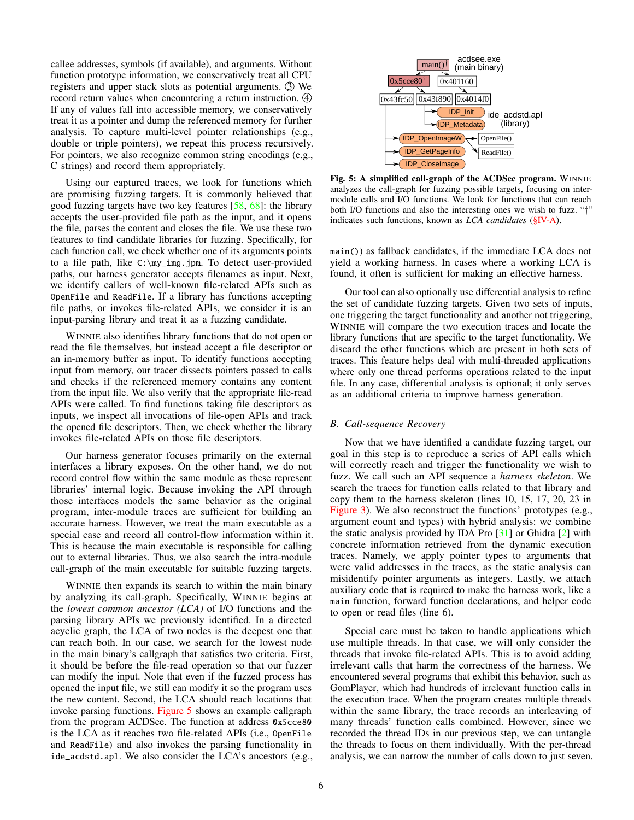callee addresses, symbols (if available), and arguments. Without function prototype information, we conservatively treat all CPU registers and upper stack slots as potential arguments.  $\Im$  We record return values when encountering a return instruction.  $\Phi$ If any of values fall into accessible memory, we conservatively treat it as a pointer and dump the referenced memory for further analysis. To capture multi-level pointer relationships (e.g., double or triple pointers), we repeat this process recursively. For pointers, we also recognize common string encodings (e.g., C strings) and record them appropriately.

Using our captured traces, we look for functions which are promising fuzzing targets. It is commonly believed that good fuzzing targets have two key features  $[58, 68]$  $[58, 68]$  $[58, 68]$ : the library accepts the user-provided file path as the input, and it opens the file, parses the content and closes the file. We use these two features to find candidate libraries for fuzzing. Specifically, for each function call, we check whether one of its arguments points to a file path, like C:\my\_img.jpm. To detect user-provided paths, our harness generator accepts filenames as input. Next, we identify callers of well-known file-related APIs such as OpenFile and ReadFile. If a library has functions accepting file paths, or invokes file-related APIs, we consider it is an input-parsing library and treat it as a fuzzing candidate.

WINNIE also identifies library functions that do not open or read the file themselves, but instead accept a file descriptor or an in-memory buffer as input. To identify functions accepting input from memory, our tracer dissects pointers passed to calls and checks if the referenced memory contains any content from the input file. We also verify that the appropriate file-read APIs were called. To find functions taking file descriptors as inputs, we inspect all invocations of file-open APIs and track the opened file descriptors. Then, we check whether the library invokes file-related APIs on those file descriptors.

Our harness generator focuses primarily on the external interfaces a library exposes. On the other hand, we do not record control flow within the same module as these represent libraries' internal logic. Because invoking the API through those interfaces models the same behavior as the original program, inter-module traces are sufficient for building an accurate harness. However, we treat the main executable as a special case and record all control-flow information within it. This is because the main executable is responsible for calling out to external libraries. Thus, we also search the intra-module call-graph of the main executable for suitable fuzzing targets.

WINNIE then expands its search to within the main binary by analyzing its call-graph. Specifically, WINNIE begins at the *lowest common ancestor (LCA)* of I/O functions and the parsing library APIs we previously identified. In a directed acyclic graph, the LCA of two nodes is the deepest one that can reach both. In our case, we search for the lowest node in the main binary's callgraph that satisfies two criteria. First, it should be before the file-read operation so that our fuzzer can modify the input. Note that even if the fuzzed process has opened the input file, we still can modify it so the program uses the new content. Second, the LCA should reach locations that invoke parsing functions. [Figure 5](#page-5-1) shows an example callgraph from the program ACDSee. The function at address 0x5cce80 is the LCA as it reaches two file-related APIs (i.e., OpenFile and ReadFile) and also invokes the parsing functionality in ide\_acdstd.apl. We also consider the LCA's ancestors (e.g.,

<span id="page-5-1"></span>

Fig. 5: A simplified call-graph of the ACDSee program. WINNIE analyzes the call-graph for fuzzing possible targets, focusing on intermodule calls and I/O functions. We look for functions that can reach both I/O functions and also the interesting ones we wish to fuzz. "†" indicates such functions, known as *LCA candidates* [\(§IV-A\)](#page-4-2).

main()) as fallback candidates, if the immediate LCA does not yield a working harness. In cases where a working LCA is found, it often is sufficient for making an effective harness.

Our tool can also optionally use differential analysis to refine the set of candidate fuzzing targets. Given two sets of inputs, one triggering the target functionality and another not triggering, WINNIE will compare the two execution traces and locate the library functions that are specific to the target functionality. We discard the other functions which are present in both sets of traces. This feature helps deal with multi-threaded applications where only one thread performs operations related to the input file. In any case, differential analysis is optional; it only serves as an additional criteria to improve harness generation.

# <span id="page-5-0"></span>*B. Call-sequence Recovery*

Now that we have identified a candidate fuzzing target, our goal in this step is to reproduce a series of API calls which will correctly reach and trigger the functionality we wish to fuzz. We call such an API sequence a *harness skeleton*. We search the traces for function calls related to that library and copy them to the harness skeleton (lines 10, 15, 17, 20, 23 in [Figure 3\)](#page-3-0). We also reconstruct the functions' prototypes (e.g., argument count and types) with hybrid analysis: we combine the static analysis provided by IDA Pro [\[31\]](#page-13-26) or Ghidra [\[2\]](#page-13-27) with concrete information retrieved from the dynamic execution traces. Namely, we apply pointer types to arguments that were valid addresses in the traces, as the static analysis can misidentify pointer arguments as integers. Lastly, we attach auxiliary code that is required to make the harness work, like a main function, forward function declarations, and helper code to open or read files (line 6).

Special care must be taken to handle applications which use multiple threads. In that case, we will only consider the threads that invoke file-related APIs. This is to avoid adding irrelevant calls that harm the correctness of the harness. We encountered several programs that exhibit this behavior, such as GomPlayer, which had hundreds of irrelevant function calls in the execution trace. When the program creates multiple threads within the same library, the trace records an interleaving of many threads' function calls combined. However, since we recorded the thread IDs in our previous step, we can untangle the threads to focus on them individually. With the per-thread analysis, we can narrow the number of calls down to just seven.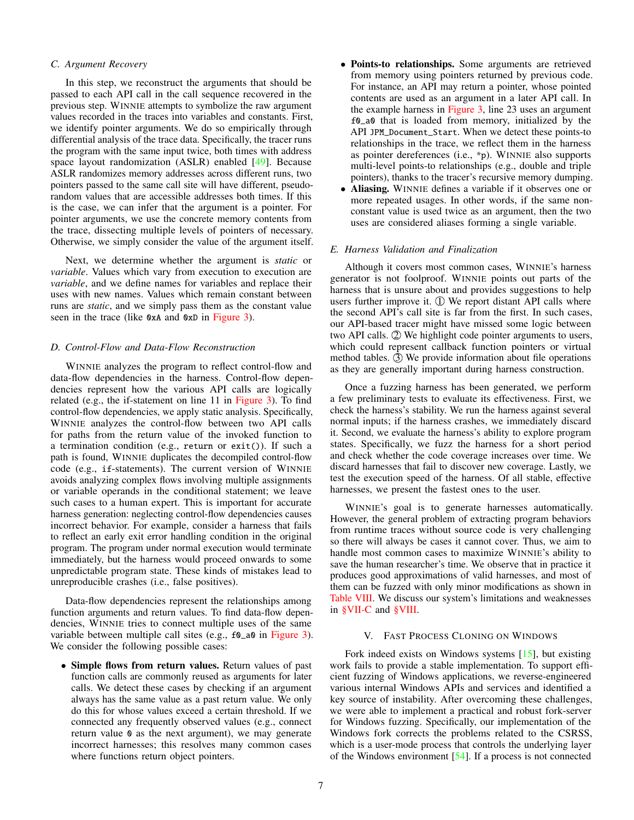# <span id="page-6-1"></span>*C. Argument Recovery*

In this step, we reconstruct the arguments that should be passed to each API call in the call sequence recovered in the previous step. WINNIE attempts to symbolize the raw argument values recorded in the traces into variables and constants. First, we identify pointer arguments. We do so empirically through differential analysis of the trace data. Specifically, the tracer runs the program with the same input twice, both times with address space layout randomization (ASLR) enabled [\[49\]](#page-13-28). Because ASLR randomizes memory addresses across different runs, two pointers passed to the same call site will have different, pseudorandom values that are accessible addresses both times. If this is the case, we can infer that the argument is a pointer. For pointer arguments, we use the concrete memory contents from the trace, dissecting multiple levels of pointers of necessary. Otherwise, we simply consider the value of the argument itself.

Next, we determine whether the argument is *static* or *variable*. Values which vary from execution to execution are *variable*, and we define names for variables and replace their uses with new names. Values which remain constant between runs are *static*, and we simply pass them as the constant value seen in the trace (like 0xA and 0xD in [Figure 3\)](#page-3-0).

# <span id="page-6-2"></span>*D. Control-Flow and Data-Flow Reconstruction*

WINNIE analyzes the program to reflect control-flow and data-flow dependencies in the harness. Control-flow dependencies represent how the various API calls are logically related (e.g., the if-statement on line 11 in [Figure 3\)](#page-3-0). To find control-flow dependencies, we apply static analysis. Specifically, WINNIE analyzes the control-flow between two API calls for paths from the return value of the invoked function to a termination condition (e.g., return or exit()). If such a path is found, WINNIE duplicates the decompiled control-flow code (e.g., if-statements). The current version of WINNIE avoids analyzing complex flows involving multiple assignments or variable operands in the conditional statement; we leave such cases to a human expert. This is important for accurate harness generation: neglecting control-flow dependencies causes incorrect behavior. For example, consider a harness that fails to reflect an early exit error handling condition in the original program. The program under normal execution would terminate immediately, but the harness would proceed onwards to some unpredictable program state. These kinds of mistakes lead to unreproducible crashes (i.e., false positives).

Data-flow dependencies represent the relationships among function arguments and return values. To find data-flow dependencies, WINNIE tries to connect multiple uses of the same variable between multiple call sites (e.g.,  $f0_a$ a0 in [Figure 3\)](#page-3-0). We consider the following possible cases:

• Simple flows from return values. Return values of past function calls are commonly reused as arguments for later calls. We detect these cases by checking if an argument always has the same value as a past return value. We only do this for whose values exceed a certain threshold. If we connected any frequently observed values (e.g., connect return value 0 as the next argument), we may generate incorrect harnesses; this resolves many common cases where functions return object pointers.

- Points-to relationships. Some arguments are retrieved from memory using pointers returned by previous code. For instance, an API may return a pointer, whose pointed contents are used as an argument in a later API call. In the example harness in [Figure 3,](#page-3-0) line 23 uses an argument f0\_a0 that is loaded from memory, initialized by the API JPM\_Document\_Start. When we detect these points-to relationships in the trace, we reflect them in the harness as pointer dereferences (i.e., \*p). WINNIE also supports multi-level points-to relationships (e.g., double and triple pointers), thanks to the tracer's recursive memory dumping.
- Aliasing. WINNIE defines a variable if it observes one or more repeated usages. In other words, if the same nonconstant value is used twice as an argument, then the two uses are considered aliases forming a single variable.

## <span id="page-6-3"></span>*E. Harness Validation and Finalization*

Although it covers most common cases, WINNIE's harness generator is not foolproof. WINNIE points out parts of the harness that is unsure about and provides suggestions to help users further improve it.  $\circled{1}$  We report distant API calls where the second API's call site is far from the first. In such cases, our API-based tracer might have missed some logic between two API calls.  $\oslash$  We highlight code pointer arguments to users, which could represent callback function pointers or virtual method tables.  $\circled{3}$  We provide information about file operations as they are generally important during harness construction.

Once a fuzzing harness has been generated, we perform a few preliminary tests to evaluate its effectiveness. First, we check the harness's stability. We run the harness against several normal inputs; if the harness crashes, we immediately discard it. Second, we evaluate the harness's ability to explore program states. Specifically, we fuzz the harness for a short period and check whether the code coverage increases over time. We discard harnesses that fail to discover new coverage. Lastly, we test the execution speed of the harness. Of all stable, effective harnesses, we present the fastest ones to the user.

WINNIE's goal is to generate harnesses automatically. However, the general problem of extracting program behaviors from runtime traces without source code is very challenging so there will always be cases it cannot cover. Thus, we aim to handle most common cases to maximize WINNIE's ability to save the human researcher's time. We observe that in practice it produces good approximations of valid harnesses, and most of them can be fuzzed with only minor modifications as shown in [Table VIII.](#page-9-0) We discuss our system's limitations and weaknesses in [§VII-C](#page-9-1) and [§VIII.](#page-11-0)

#### V. FAST PROCESS CLONING ON WINDOWS

<span id="page-6-0"></span>Fork indeed exists on Windows systems [\[15\]](#page-13-29), but existing work fails to provide a stable implementation. To support efficient fuzzing of Windows applications, we reverse-engineered various internal Windows APIs and services and identified a key source of instability. After overcoming these challenges, we were able to implement a practical and robust fork-server for Windows fuzzing. Specifically, our implementation of the Windows fork corrects the problems related to the CSRSS, which is a user-mode process that controls the underlying layer of the Windows environment [\[54\]](#page-14-16). If a process is not connected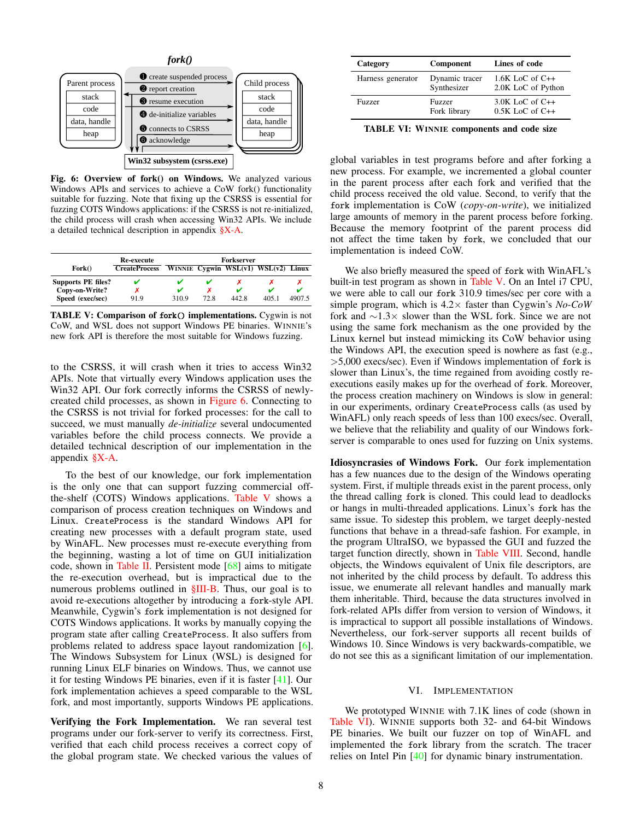<span id="page-7-0"></span>

Fig. 6: Overview of fork() on Windows. We analyzed various Windows APIs and services to achieve a CoW fork() functionality suitable for fuzzing. Note that fixing up the CSRSS is essential for fuzzing COTS Windows applications: if the CSRSS is not re-initialized, the child process will crash when accessing Win32 APIs. We include a detailed technical description in appendix [§X-A.](#page-15-0)

<span id="page-7-1"></span>

|                           | Re-execute           | Forkserver |      |       |                                           |        |  |  |  |  |  |
|---------------------------|----------------------|------------|------|-------|-------------------------------------------|--------|--|--|--|--|--|
| For k()                   | <b>CreateProcess</b> |            |      |       | WINNIE Cygwin WSL $(v1)$ WSL $(v2)$ Linux |        |  |  |  |  |  |
| <b>Supports PE files?</b> | v                    |            |      |       |                                           |        |  |  |  |  |  |
| Copy-on-Write?            |                      |            |      | v     |                                           |        |  |  |  |  |  |
| Speed (exec/sec)          | 91.9                 | 310.9      | 72.8 | 442.8 | 405.1                                     | 4907.5 |  |  |  |  |  |

TABLE V: Comparison of fork() implementations. Cygwin is not CoW, and WSL does not support Windows PE binaries. WINNIE's new fork API is therefore the most suitable for Windows fuzzing.

to the CSRSS, it will crash when it tries to access Win32 APIs. Note that virtually every Windows application uses the Win32 API. Our fork correctly informs the CSRSS of newlycreated child processes, as shown in [Figure 6.](#page-7-0) Connecting to the CSRSS is not trivial for forked processes: for the call to succeed, we must manually *de-initialize* several undocumented variables before the child process connects. We provide a detailed technical description of our implementation in the appendix  $\frac{8}{9}X-A$ .

To the best of our knowledge, our fork implementation is the only one that can support fuzzing commercial offthe-shelf (COTS) Windows applications. [Table V](#page-7-1) shows a comparison of process creation techniques on Windows and Linux. CreateProcess is the standard Windows API for creating new processes with a default program state, used by WinAFL. New processes must re-execute everything from the beginning, wasting a lot of time on GUI initialization code, shown in [Table II.](#page-2-1) Persistent mode  $[68]$  aims to mitigate the re-execution overhead, but is impractical due to the numerous problems outlined in  $$III-B$ . Thus, our goal is to avoid re-executions altogether by introducing a fork-style API. Meanwhile, Cygwin's fork implementation is not designed for COTS Windows applications. It works by manually copying the program state after calling CreateProcess. It also suffers from problems related to address space layout randomization [\[6\]](#page-13-30). The Windows Subsystem for Linux (WSL) is designed for running Linux ELF binaries on Windows. Thus, we cannot use it for testing Windows PE binaries, even if it is faster [\[41\]](#page-13-31). Our fork implementation achieves a speed comparable to the WSL fork, and most importantly, supports Windows PE applications.

Verifying the Fork Implementation. We ran several test programs under our fork-server to verify its correctness. First, verified that each child process receives a correct copy of the global program state. We checked various the values of

<span id="page-7-2"></span>

| Category          | Component                     | Lines of code                                |
|-------------------|-------------------------------|----------------------------------------------|
| Harness generator | Dynamic tracer<br>Synthesizer | $1.6K$ LoC of C++<br>2.0K LoC of Python      |
| <b>Fuzzer</b>     | Fuzzer<br>Fork library        | $3.0K$ LoC of C $++$<br>$0.5K$ LoC of C $++$ |

TABLE VI: WINNIE components and code size

global variables in test programs before and after forking a new process. For example, we incremented a global counter in the parent process after each fork and verified that the child process received the old value. Second, to verify that the fork implementation is CoW (*copy-on-write*), we initialized large amounts of memory in the parent process before forking. Because the memory footprint of the parent process did not affect the time taken by fork, we concluded that our implementation is indeed CoW.

We also briefly measured the speed of fork with WinAFL's built-in test program as shown in [Table V.](#page-7-1) On an Intel i7 CPU, we were able to call our fork 310.9 times/sec per core with a simple program, which is 4.2× faster than Cygwin's *No-CoW* fork and ∼1.3× slower than the WSL fork. Since we are not using the same fork mechanism as the one provided by the Linux kernel but instead mimicking its CoW behavior using the Windows API, the execution speed is nowhere as fast (e.g., >5,000 execs/sec). Even if Windows implementation of fork is slower than Linux's, the time regained from avoiding costly reexecutions easily makes up for the overhead of fork. Moreover, the process creation machinery on Windows is slow in general: in our experiments, ordinary CreateProcess calls (as used by WinAFL) only reach speeds of less than 100 execs/sec. Overall, we believe that the reliability and quality of our Windows forkserver is comparable to ones used for fuzzing on Unix systems.

Idiosyncrasies of Windows Fork. Our fork implementation has a few nuances due to the design of the Windows operating system. First, if multiple threads exist in the parent process, only the thread calling fork is cloned. This could lead to deadlocks or hangs in multi-threaded applications. Linux's fork has the same issue. To sidestep this problem, we target deeply-nested functions that behave in a thread-safe fashion. For example, in the program UltraISO, we bypassed the GUI and fuzzed the target function directly, shown in [Table VIII.](#page-9-0) Second, handle objects, the Windows equivalent of Unix file descriptors, are not inherited by the child process by default. To address this issue, we enumerate all relevant handles and manually mark them inheritable. Third, because the data structures involved in fork-related APIs differ from version to version of Windows, it is impractical to support all possible installations of Windows. Nevertheless, our fork-server supports all recent builds of Windows 10. Since Windows is very backwards-compatible, we do not see this as a significant limitation of our implementation.

#### VI. IMPLEMENTATION

We prototyped WINNIE with 7.1K lines of code (shown in [Table VI\)](#page-7-2). WINNIE supports both 32- and 64-bit Windows PE binaries. We built our fuzzer on top of WinAFL and implemented the fork library from the scratch. The tracer relies on Intel Pin [\[40\]](#page-13-32) for dynamic binary instrumentation.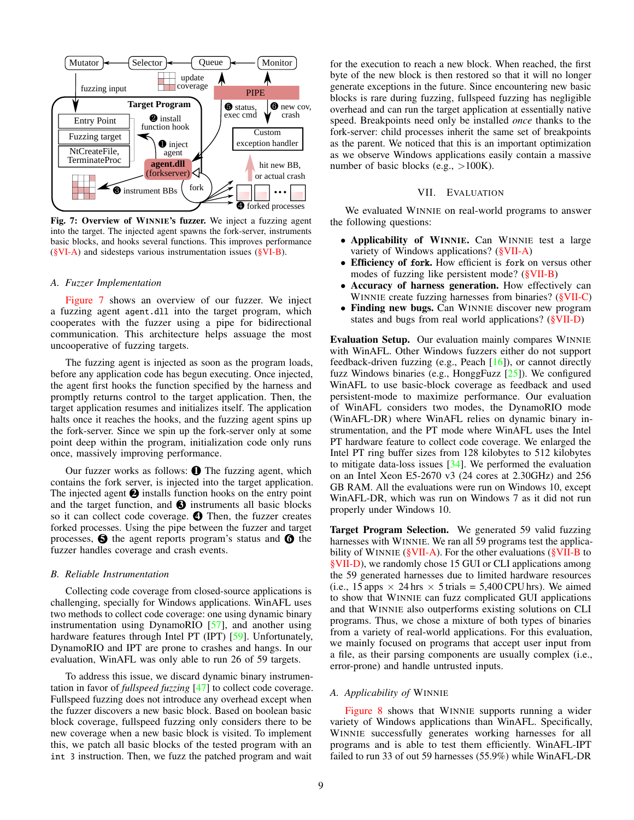<span id="page-8-3"></span>

Fig. 7: Overview of WINNIE's fuzzer. We inject a fuzzing agent into the target. The injected agent spawns the fork-server, instruments basic blocks, and hooks several functions. This improves performance [\(§VI-A\)](#page-8-1) and sidesteps various instrumentation issues [\(§VI-B\)](#page-8-2).

#### <span id="page-8-1"></span>*A. Fuzzer Implementation*

[Figure 7](#page-8-3) shows an overview of our fuzzer. We inject a fuzzing agent agent.dll into the target program, which cooperates with the fuzzer using a pipe for bidirectional communication. This architecture helps assuage the most uncooperative of fuzzing targets.

The fuzzing agent is injected as soon as the program loads, before any application code has begun executing. Once injected, the agent first hooks the function specified by the harness and promptly returns control to the target application. Then, the target application resumes and initializes itself. The application halts once it reaches the hooks, and the fuzzing agent spins up the fork-server. Since we spin up the fork-server only at some point deep within the program, initialization code only runs once, massively improving performance.

Our fuzzer works as follows:  $\bullet$  The fuzzing agent, which contains the fork server, is injected into the target application. The injected agent  $\bullet$  installs function hooks on the entry point and the target function, and  $\bigcirc$  instruments all basic blocks so it can collect code coverage. **4** Then, the fuzzer creates forked processes. Using the pipe between the fuzzer and target processes,  $\Theta$  the agent reports program's status and  $\Theta$  the fuzzer handles coverage and crash events.

# <span id="page-8-2"></span>*B. Reliable Instrumentation*

Collecting code coverage from closed-source applications is challenging, specially for Windows applications. WinAFL uses two methods to collect code coverage: one using dynamic binary instrumentation using DynamoRIO [\[57\]](#page-14-13), and another using hardware features through Intel PT (IPT) [\[59\]](#page-14-17). Unfortunately, DynamoRIO and IPT are prone to crashes and hangs. In our evaluation, WinAFL was only able to run 26 of 59 targets.

To address this issue, we discard dynamic binary instrumentation in favor of *fullspeed fuzzing* [\[47\]](#page-13-33) to collect code coverage. Fullspeed fuzzing does not introduce any overhead except when the fuzzer discovers a new basic block. Based on boolean basic block coverage, fullspeed fuzzing only considers there to be new coverage when a new basic block is visited. To implement this, we patch all basic blocks of the tested program with an int 3 instruction. Then, we fuzz the patched program and wait

for the execution to reach a new block. When reached, the first byte of the new block is then restored so that it will no longer generate exceptions in the future. Since encountering new basic blocks is rare during fuzzing, fullspeed fuzzing has negligible overhead and can run the target application at essentially native speed. Breakpoints need only be installed *once* thanks to the fork-server: child processes inherit the same set of breakpoints as the parent. We noticed that this is an important optimization as we observe Windows applications easily contain a massive number of basic blocks (e.g.,  $>100K$ ).

## VII. EVALUATION

We evaluated WINNIE on real-world programs to answer the following questions:

- Applicability of WINNIE. Can WINNIE test a large variety of Windows applications? [\(§VII-A\)](#page-8-0)
- Efficiency of fork. How efficient is fork on versus other modes of fuzzing like persistent mode? [\(§VII-B\)](#page-9-2)
- Accuracy of harness generation. How effectively can WINNIE create fuzzing harnesses from binaries? [\(§VII-C\)](#page-9-1)
- Finding new bugs. Can WINNIE discover new program states and bugs from real world applications? [\(§VII-D\)](#page-10-0)

Evaluation Setup. Our evaluation mainly compares WINNIE with WinAFL. Other Windows fuzzers either do not support feedback-driven fuzzing (e.g., Peach [\[16\]](#page-13-23)), or cannot directly fuzz Windows binaries (e.g., HonggFuzz [\[25\]](#page-13-22)). We configured WinAFL to use basic-block coverage as feedback and used persistent-mode to maximize performance. Our evaluation of WinAFL considers two modes, the DynamoRIO mode (WinAFL-DR) where WinAFL relies on dynamic binary instrumentation, and the PT mode where WinAFL uses the Intel PT hardware feature to collect code coverage. We enlarged the Intel PT ring buffer sizes from 128 kilobytes to 512 kilobytes to mitigate data-loss issues  $[34]$ . We performed the evaluation on an Intel Xeon E5-2670 v3 (24 cores at 2.30GHz) and 256 GB RAM. All the evaluations were run on Windows 10, except WinAFL-DR, which was run on Windows 7 as it did not run properly under Windows 10.

Target Program Selection. We generated 59 valid fuzzing harnesses with WINNIE. We ran all 59 programs test the applicability of WINNIE ( $\text{\&VII-A}$ ). For the other evaluations ( $\text{\&VII-B}$  to [§VII-D\)](#page-10-0), we randomly chose 15 GUI or CLI applications among the 59 generated harnesses due to limited hardware resources (i.e., 15 apps  $\times$  24 hrs  $\times$  5 trials = 5,400 CPU hrs). We aimed to show that WINNIE can fuzz complicated GUI applications and that WINNIE also outperforms existing solutions on CLI programs. Thus, we chose a mixture of both types of binaries from a variety of real-world applications. For this evaluation, we mainly focused on programs that accept user input from a file, as their parsing components are usually complex (i.e., error-prone) and handle untrusted inputs.

## <span id="page-8-0"></span>*A. Applicability of* WINNIE

[Figure 8](#page-9-3) shows that WINNIE supports running a wider variety of Windows applications than WinAFL. Specifically, WINNIE successfully generates working harnesses for all programs and is able to test them efficiently. WinAFL-IPT failed to run 33 of out 59 harnesses (55.9%) while WinAFL-DR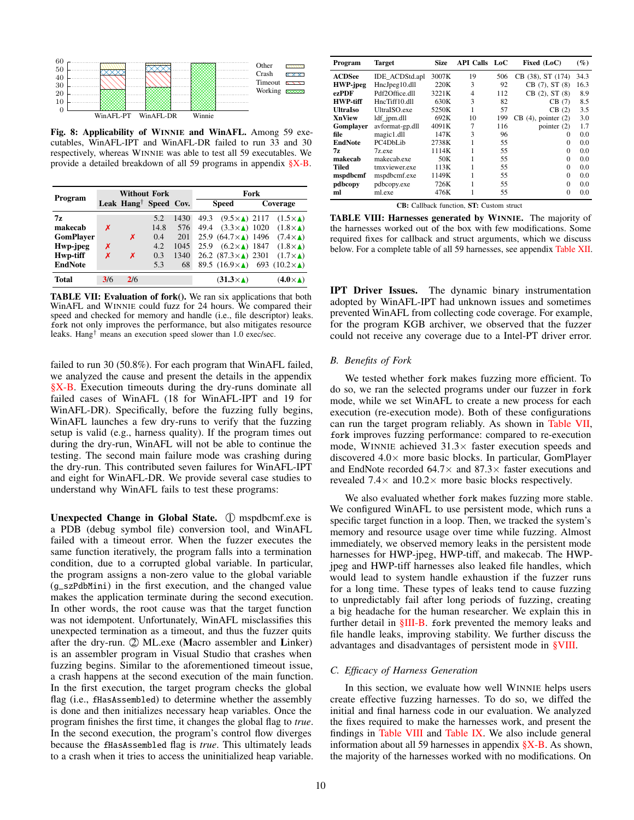<span id="page-9-3"></span>

Fig. 8: Applicability of WINNIE and WinAFL. Among 59 executables, WinAFL-IPT and WinAFL-DR failed to run 33 and 30 respectively, whereas WINNIE was able to test all 59 executables. We provide a detailed breakdown of all 59 programs in appendix [§X-B.](#page-15-1)

<span id="page-9-4"></span>

| Program          |     | <b>Without Fork</b>               |      |      | Fork                                |                                                          |  |  |  |
|------------------|-----|-----------------------------------|------|------|-------------------------------------|----------------------------------------------------------|--|--|--|
|                  |     | Leak Hang <sup>†</sup> Speed Cov. |      |      | <b>Speed</b>                        | Coverage                                                 |  |  |  |
| 7z               |     |                                   | 5.2  | 1430 | $(9.5\times\lambda)$ 2117<br>49.3   | $(1.5\times\Lambda)$                                     |  |  |  |
| makecab          | х   |                                   | 14.8 | 576  | $(3.3\times\Lambda)$ 1020<br>49.4   | $(1.8\times\Lambda)$                                     |  |  |  |
| <b>GomPlayer</b> |     | x                                 | 0.4  | 201  | 25.9 $(64.7 \times \)$ 1496         | $(7.4 \times \triangle)$                                 |  |  |  |
| Hwp-jpeg         | x   |                                   | 4.2  | 1045 | $(6.2\times\Lambda)$ 1847<br>25.9   | $(1.8\times\Lambda)$                                     |  |  |  |
| Hwp-tiff         | X   | x                                 | 0.3  | 1340 | 26.2 $(87.3 \times \triangle)$ 2301 | $(1.7\times\Lambda)$                                     |  |  |  |
| <b>EndNote</b>   |     |                                   | 5.3  | 68   |                                     | 89.5 $(16.9 \times \Lambda)$ 693 $(10.2 \times \Lambda)$ |  |  |  |
| <b>Total</b>     | 3/6 | 2/6                               |      |      | $(31.3\times\Lambda)$               | $(4.0\times\Lambda)$                                     |  |  |  |

TABLE VII: Evaluation of fork(). We ran six applications that both WinAFL and WINNIE could fuzz for 24 hours. We compared their speed and checked for memory and handle (i.e., file descriptor) leaks. fork not only improves the performance, but also mitigates resource leaks. Hang† means an execution speed slower than 1.0 exec/sec.

failed to run 30 (50.8%). For each program that WinAFL failed, we analyzed the cause and present the details in the appendix [§X-B.](#page-15-1) Execution timeouts during the dry-runs dominate all failed cases of WinAFL (18 for WinAFL-IPT and 19 for WinAFL-DR). Specifically, before the fuzzing fully begins, WinAFL launches a few dry-runs to verify that the fuzzing setup is valid (e.g., harness quality). If the program times out during the dry-run, WinAFL will not be able to continue the testing. The second main failure mode was crashing during the dry-run. This contributed seven failures for WinAFL-IPT and eight for WinAFL-DR. We provide several case studies to understand why WinAFL fails to test these programs:

Unexpected Change in Global State. ① mspdbcmf.exe is a PDB (debug symbol file) conversion tool, and WinAFL failed with a timeout error. When the fuzzer executes the same function iteratively, the program falls into a termination condition, due to a corrupted global variable. In particular, the program assigns a non-zero value to the global variable (g\_szPdbMini) in the first execution, and the changed value makes the application terminate during the second execution. In other words, the root cause was that the target function was not idempotent. Unfortunately, WinAFL misclassifies this unexpected termination as a timeout, and thus the fuzzer quits after the dry-run.  $\mathcal{D}$  ML.exe (Macro assembler and Linker) is an assembler program in Visual Studio that crashes when fuzzing begins. Similar to the aforementioned timeout issue, a crash happens at the second execution of the main function. In the first execution, the target program checks the global flag (i.e., fHasAssembled) to determine whether the assembly is done and then initializes necessary heap variables. Once the program finishes the first time, it changes the global flag to *true*. In the second execution, the program's control flow diverges because the fHasAssembled flag is *true*. This ultimately leads to a crash when it tries to access the uninitialized heap variable.

<span id="page-9-0"></span>

| Program         | <b>Target</b>   | <b>Size</b> | <b>API Calls</b> LoC |     | Fixed (LoC)             | $(\%)$ |
|-----------------|-----------------|-------------|----------------------|-----|-------------------------|--------|
| <b>ACDSee</b>   | IDE ACDStd.apl  | 3007K       | 19                   | 506 | CB (38), ST (174)       | 34.3   |
| <b>HWP-jpeg</b> | HncJpeg10.dll   | 220K        | 3                    | 92  | CB(7), ST(8)            | 16.3   |
| ezPDF           | Pdf2Office.dll  | 3221K       | 4                    | 112 | CB(2), ST(8)            | 8.9    |
| <b>HWP-tiff</b> | HncTiff10.dll   | 630K        | 3                    | 82  | CB(7)                   | 8.5    |
| <b>UltraIso</b> | UltraISO.exe    | 5250K       | 1                    | 57  | CB(2)                   | 3.5    |
| <b>XnView</b>   | ldf jpm.dll     | 692K        | 10                   | 199 | $CB(4)$ , pointer $(2)$ | 3.0    |
| Gomplayer       | avformat-gp.dll | 4091K       | 7                    | 116 | pointer $(2)$           | 1.7    |
| file            | magic1.dll      | 147K        | 3                    | 96  | $\Omega$                | 0.0    |
| <b>EndNote</b>  | PC4DbLib        | 2738K       |                      | 55  | $\Omega$                | 0.0    |
| 77.             | 7z.exe          | 1114K       |                      | 55  | 0                       | 0.0    |
| makecab         | makecab.exe     | 50K         |                      | 55  | $\Omega$                | 0.0    |
| <b>Tiled</b>    | tmxviewer.exe   | 113K        |                      | 55  | 0                       | 0.0    |
| mspdbcmf        | mspdbcmf.exe    | 1149K       |                      | 55  | 0                       | 0.0    |
| pdbcopy         | pdbcopy.exe     | 726K        |                      | 55  | 0                       | 0.0    |
| ml              | ml.exe          | 476K        |                      | 55  | $\Omega$                | 0.0    |

CB: Callback function, ST: Custom struct

TABLE VIII: Harnesses generated by WINNIE. The majority of the harnesses worked out of the box with few modifications. Some required fixes for callback and struct arguments, which we discuss below. For a complete table of all 59 harnesses, see appendix [Table XII.](#page-16-0)

IPT Driver Issues. The dynamic binary instrumentation adopted by WinAFL-IPT had unknown issues and sometimes prevented WinAFL from collecting code coverage. For example, for the program KGB archiver, we observed that the fuzzer could not receive any coverage due to a Intel-PT driver error.

# <span id="page-9-2"></span>*B. Benefits of Fork*

We tested whether fork makes fuzzing more efficient. To do so, we ran the selected programs under our fuzzer in fork mode, while we set WinAFL to create a new process for each execution (re-execution mode). Both of these configurations can run the target program reliably. As shown in [Table VII,](#page-9-4) fork improves fuzzing performance: compared to re-execution mode, WINNIE achieved  $31.3\times$  faster execution speeds and discovered  $4.0\times$  more basic blocks. In particular, GomPlayer and EndNote recorded  $64.7\times$  and  $87.3\times$  faster executions and revealed 7.4 $\times$  and 10.2 $\times$  more basic blocks respectively.

We also evaluated whether fork makes fuzzing more stable. We configured WinAFL to use persistent mode, which runs a specific target function in a loop. Then, we tracked the system's memory and resource usage over time while fuzzing. Almost immediately, we observed memory leaks in the persistent mode harnesses for HWP-jpeg, HWP-tiff, and makecab. The HWPjpeg and HWP-tiff harnesses also leaked file handles, which would lead to system handle exhaustion if the fuzzer runs for a long time. These types of leaks tend to cause fuzzing to unpredictably fail after long periods of fuzzing, creating a big headache for the human researcher. We explain this in further detail in [§III-B.](#page-3-2) fork prevented the memory leaks and file handle leaks, improving stability. We further discuss the advantages and disadvantages of persistent mode in [§VIII.](#page-11-0)

# <span id="page-9-1"></span>*C. Efficacy of Harness Generation*

In this section, we evaluate how well WINNIE helps users create effective fuzzing harnesses. To do so, we diffed the initial and final harness code in our evaluation. We analyzed the fixes required to make the harnesses work, and present the findings in [Table VIII](#page-9-0) and [Table IX.](#page-10-1) We also include general information about all 59 harnesses in appendix  $\frac{S}{S}X-B$ . As shown, the majority of the harnesses worked with no modifications. On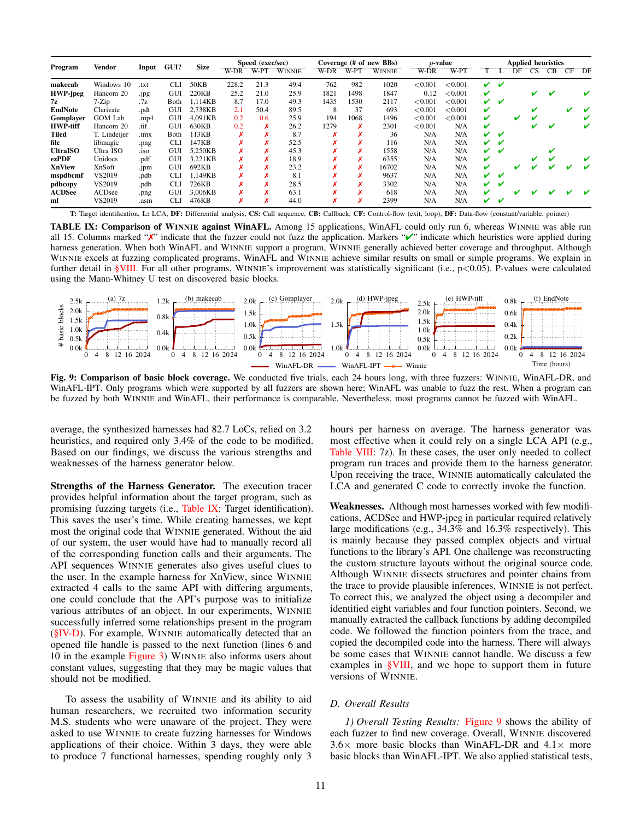<span id="page-10-1"></span>

| Program         | Vendor         |                  | GUI? | <b>Size</b> |       | Speed (exec/sec) |               |      |      | Coverage (# of new BBs) | $p$ -value |         | <b>Applied heuristics</b> |   |    |    |    |    |    |
|-----------------|----------------|------------------|------|-------------|-------|------------------|---------------|------|------|-------------------------|------------|---------|---------------------------|---|----|----|----|----|----|
|                 |                | Input            |      |             | W-DR  | W-PT             | <b>WINNIE</b> | W-DR | W-PT | <b>WINNIE</b>           | W-DR       | W-PT    |                           |   | DF | CS | CВ | CF | DF |
| makecab         | Windows 10     | .txt             | CЫ   | 50KB        | 228.2 | 21.3             | 49.4          | 762  | 982  | 1020                    | < 0.001    | < 0.001 | ✓                         | v |    |    |    |    |    |
| <b>HWP-jpeg</b> | Hancom 20      | .jpg             | GUI  | 220KB       | 25.2  | 21.0             | 25.9          | 1821 | 1498 | 1847                    | 0.12       | < 0.001 | V                         |   |    | ✔  | ✔  |    |    |
| 7z              | $7-Zip$        | .7z              | Both | 1.114KB     | 8.7   | 17.0             | 49.3          | 1435 | 1530 | 2117                    | < 0.001    | < 0.001 | v                         | v |    |    |    |    |    |
| <b>EndNote</b>  | Clarivate      | .pdt             | GUI  | 2.738KB     | 2.1   | 50.4             | 89.5          | 8    | 37   | 693                     | < 0.001    | < 0.001 | V                         |   |    |    |    |    |    |
| Gomplayer       | <b>GOM Lab</b> | .mp4             | GUI  | 4.091KB     | 0.2   | 0.6              | 25.9          | 194  | 1068 | 1496                    | < 0.001    | < 0.001 | V                         |   | v  |    |    |    |    |
| <b>HWP-tiff</b> | Hancom 20      | .tif             | GUI  | 630KB       | 0.2   | x                | 26.2          | 1279 | 8    | 2301                    | < 0.001    | N/A     | ✓                         |   |    |    | ✔  |    |    |
| Tiled           | T. Lindeijer   | .tmx             | Both | 113KB       | x     | ×                | 8.7           |      |      | 36                      | N/A        | N/A     | ✓                         | v |    |    |    |    |    |
| file            | libmagic       | .png             | CLI  | 147KB       |       |                  | 52.5          |      |      | 116                     | N/A        | N/A     | ✓                         | v |    |    |    |    |    |
| <b>UltraISO</b> | Ultra ISO      | .1S <sub>O</sub> | GUI  | 5,250KB     |       |                  | 45.3          |      |      | 1558                    | N/A        | N/A     |                           | v |    |    | v  |    |    |
| ezPDF           | Unidocs        | .pdf             | GUI  | 3.221KB     | x     |                  | 18.9          |      |      | 6355                    | N/A        | N/A     | V                         |   |    | v  | v  |    |    |
| <b>XnView</b>   | XnSoft         | .jpm             | GUI  | 692KB       |       |                  | 23.2          |      |      | 16702                   | N/A        | N/A     | V                         |   |    |    |    |    |    |
| mspdbcmf        | VS2019         | .pdb             | CLI  | 1.149KB     |       |                  | 8.1           |      |      | 9637                    | N/A        | N/A     | ✓                         | v |    |    |    |    |    |
| pdbcopy         | VS2019         | .pdb             | CLI  | 726KB       |       |                  | 28.5          |      |      | 3302                    | N/A        | N/A     | ✓                         | v |    |    |    |    |    |
| <b>ACDSee</b>   | <b>ACDsee</b>  | .png             | GUI  | 3.006KB     |       | x                | 63.1          |      |      | 618                     | N/A        | N/A     | V                         |   |    |    |    |    |    |
| ml              | VS2019         | .asm             | CLI  | 476KB       | x     | A                | 44.0          |      |      | 2399                    | N/A        | N/A     | ✓                         | v |    |    |    |    |    |

T: Target identification, L: LCA, DF: Differential analysis, CS: Call sequence, CB: Callback, CF: Control-flow (exit, loop), DF: Data-flow (constant/variable, pointer)

TABLE IX: Comparison of WINNIE against WinAFL. Among 15 applications, WinAFL could only run 6, whereas WINNIE was able run all 15. Columns marked " $\chi$ " indicate that the fuzzer could not fuzz the application. Markers " $\chi$ " indicate which heuristics were applied during harness generation. When both WinAFL and WINNIE support a program, WINNIE generally achieved better coverage and throughput. Although WINNIE excels at fuzzing complicated programs, WinAFL and WINNIE achieve similar results on small or simple programs. We explain in further detail in [§VIII.](#page-11-0) For all other programs, WINNIE's improvement was statistically significant (i.e., p<0.05). P-values were calculated using the Mann-Whitney U test on discovered basic blocks.

<span id="page-10-2"></span>

Fig. 9: Comparison of basic block coverage. We conducted five trials, each 24 hours long, with three fuzzers: WINNIE, WinAFL-DR, and WinAFL-IPT. Only programs which were supported by all fuzzers are shown here; WinAFL was unable to fuzz the rest. When a program can be fuzzed by both WINNIE and WinAFL, their performance is comparable. Nevertheless, most programs cannot be fuzzed with WinAFL.

average, the synthesized harnesses had 82.7 LoCs, relied on 3.2 heuristics, and required only 3.4% of the code to be modified. Based on our findings, we discuss the various strengths and weaknesses of the harness generator below.

Strengths of the Harness Generator. The execution tracer provides helpful information about the target program, such as promising fuzzing targets (i.e., [Table IX:](#page-10-1) Target identification). This saves the user's time. While creating harnesses, we kept most the original code that WINNIE generated. Without the aid of our system, the user would have had to manually record all of the corresponding function calls and their arguments. The API sequences WINNIE generates also gives useful clues to the user. In the example harness for XnView, since WINNIE extracted 4 calls to the same API with differing arguments, one could conclude that the API's purpose was to initialize various attributes of an object. In our experiments, WINNIE successfully inferred some relationships present in the program [\(§IV-D\)](#page-6-2). For example, WINNIE automatically detected that an opened file handle is passed to the next function (lines 6 and 10 in the example [Figure 3\)](#page-3-0) WINNIE also informs users about constant values, suggesting that they may be magic values that should not be modified.

To assess the usability of WINNIE and its ability to aid human researchers, we recruited two information security M.S. students who were unaware of the project. They were asked to use WINNIE to create fuzzing harnesses for Windows applications of their choice. Within 3 days, they were able to produce 7 functional harnesses, spending roughly only 3 hours per harness on average. The harness generator was most effective when it could rely on a single LCA API (e.g., [Table VIII:](#page-9-0) 7z). In these cases, the user only needed to collect program run traces and provide them to the harness generator. Upon receiving the trace, WINNIE automatically calculated the LCA and generated C code to correctly invoke the function.

Weaknesses. Although most harnesses worked with few modifications, ACDSee and HWP-jpeg in particular required relatively large modifications (e.g., 34.3% and 16.3% respectively). This is mainly because they passed complex objects and virtual functions to the library's API. One challenge was reconstructing the custom structure layouts without the original source code. Although WINNIE dissects structures and pointer chains from the trace to provide plausible inferences, WINNIE is not perfect. To correct this, we analyzed the object using a decompiler and identified eight variables and four function pointers. Second, we manually extracted the callback functions by adding decompiled code. We followed the function pointers from the trace, and copied the decompiled code into the harness. There will always be some cases that WINNIE cannot handle. We discuss a few examples in [§VIII,](#page-11-0) and we hope to support them in future versions of WINNIE.

# <span id="page-10-0"></span>*D. Overall Results*

*1) Overall Testing Results:* [Figure 9](#page-10-2) shows the ability of each fuzzer to find new coverage. Overall, WINNIE discovered  $3.6\times$  more basic blocks than WinAFL-DR and  $4.1\times$  more basic blocks than WinAFL-IPT. We also applied statistical tests,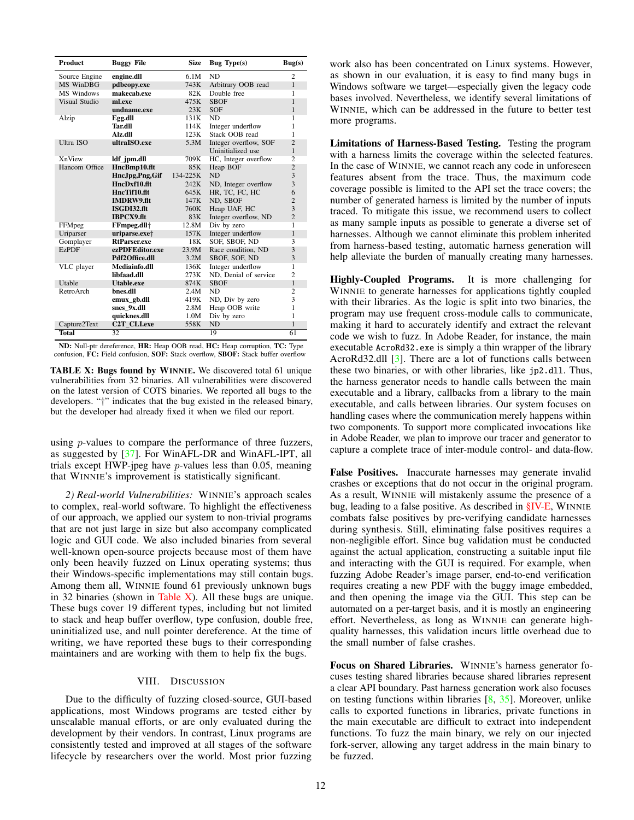<span id="page-11-1"></span>

| <b>Product</b>   | <b>Buggy File</b>         | <b>Size</b>  | <b>Bug</b> Type(s)    | Bug(s)         |
|------------------|---------------------------|--------------|-----------------------|----------------|
| Source Engine    | engine.dll                | 6.1M         | ND.                   | $\mathfrak{D}$ |
| <b>MS WinDBG</b> | pdbcopy.exe               | 743K         | Arbitrary OOB read    | $\mathbf{1}$   |
| MS Windows       | makecab.exe               | 82K          | Double free           | 1              |
| Visual Studio    | ml.exe                    | 475K         | <b>SBOF</b>           | 1              |
|                  | undname.exe               | 23K          | <b>SOF</b>            | 1              |
| Alzip            | Egg.dll                   | 131K         | N <sub>D</sub>        | 1              |
|                  | <b>Tar.dll</b>            | 114K         | Integer underflow     | 1              |
|                  | Alz.dll                   | 123K         | Stack OOB read        | 1              |
| Ultra ISO        | ultraISO.exe              | 5.3M         | Integer overflow, SOF | $\overline{c}$ |
|                  |                           |              | Uninitialized use     | 1              |
| <b>XnView</b>    | ldf_jpm.dll               | 709K         | HC, Integer overflow  | $\overline{2}$ |
| Hancom Office    | HncBmp10.flt              | 85K          | Heap BOF              | $\overline{2}$ |
|                  | Hnc.Jpg,Png,Gif           | $134 - 225K$ | N <sub>D</sub>        | 3              |
|                  | HncDxf10.flt              | 242K         | ND, Integer overflow  | 3              |
|                  | HncTif10.flt              | 645K         | HR, TC, FC, HC        | 6              |
|                  | <b>IMDRW9.flt</b>         | 147K         | ND. SBOF              | $\overline{2}$ |
|                  | ISGDI32.flt               | 760K         | Heap UAF, HC          | 3              |
|                  | <b>IBPCX9.flt</b>         | 83K          | Integer overflow, ND  | $\overline{2}$ |
| FFMpeg           | FFmpeg.dll <sup>+</sup>   | 12.8M        | Div by zero           | $\overline{1}$ |
| Uriparser        | uriparse.exe <sup>+</sup> | 157K         | Integer underflow     | 1              |
| Gomplayer        | <b>RtParser.exe</b>       | 18K          | SOF, SBOF, ND         | 3              |
| <b>EzPDF</b>     | ezPDFEditor.exe           | 23.9M        | Race condition, ND    | 3              |
|                  | Pdf2Office.dll            | 3.2M         | SBOF, SOF, ND         | 3              |
| VLC player       | Mediainfo.dll             | 136K         | Integer underflow     | 1              |
|                  | libfaad.dll               | 273K         | ND. Denial of service | $\overline{2}$ |
| Utable           | Utable.exe                | 874K         | <b>SBOF</b>           | $\mathbf{1}$   |
| RetroArch        | bnes.dll                  | 2.4M         | ND                    | $\overline{2}$ |
|                  | emux gb.dll               | 419K         | ND, Div by zero       | 3              |
|                  | snes 9x.dll               | 2.8M         | Heap OOB write        | 1              |
|                  | quicknes.dll              | 1.0M         | Div by zero           | 1              |
| Capture2Text     | C2T CLI.exe               | 558K         | ND                    | 1              |
| <b>Total</b>     | 32                        |              | 19                    | 61             |

ND: Null-ptr dereference, HR: Heap OOB read, HC: Heap corruption, TC: Type confusion, FC: Field confusion, SOF: Stack overflow, SBOF: Stack buffer overflow

TABLE X: Bugs found by WINNIE. We discovered total 61 unique vulnerabilities from 32 binaries. All vulnerabilities were discovered on the latest version of COTS binaries. We reported all bugs to the developers. "†" indicates that the bug existed in the released binary, but the developer had already fixed it when we filed our report.

using *p*-values to compare the performance of three fuzzers, as suggested by [\[37\]](#page-13-35). For WinAFL-DR and WinAFL-IPT, all trials except HWP-jpeg have p-values less than 0.05, meaning that WINNIE's improvement is statistically significant.

*2) Real-world Vulnerabilities:* WINNIE's approach scales to complex, real-world software. To highlight the effectiveness of our approach, we applied our system to non-trivial programs that are not just large in size but also accompany complicated logic and GUI code. We also included binaries from several well-known open-source projects because most of them have only been heavily fuzzed on Linux operating systems; thus their Windows-specific implementations may still contain bugs. Among them all, WINNIE found 61 previously unknown bugs in 32 binaries (shown in [Table X\)](#page-11-1). All these bugs are unique. These bugs cover 19 different types, including but not limited to stack and heap buffer overflow, type confusion, double free, uninitialized use, and null pointer dereference. At the time of writing, we have reported these bugs to their corresponding maintainers and are working with them to help fix the bugs.

# VIII. DISCUSSION

<span id="page-11-0"></span>Due to the difficulty of fuzzing closed-source, GUI-based applications, most Windows programs are tested either by unscalable manual efforts, or are only evaluated during the development by their vendors. In contrast, Linux programs are consistently tested and improved at all stages of the software lifecycle by researchers over the world. Most prior fuzzing work also has been concentrated on Linux systems. However, as shown in our evaluation, it is easy to find many bugs in Windows software we target—especially given the legacy code bases involved. Nevertheless, we identify several limitations of WINNIE, which can be addressed in the future to better test more programs.

Limitations of Harness-Based Testing. Testing the program with a harness limits the coverage within the selected features. In the case of WINNIE, we cannot reach any code in unforeseen features absent from the trace. Thus, the maximum code coverage possible is limited to the API set the trace covers; the number of generated harness is limited by the number of inputs traced. To mitigate this issue, we recommend users to collect as many sample inputs as possible to generate a diverse set of harnesses. Although we cannot eliminate this problem inherited from harness-based testing, automatic harness generation will help alleviate the burden of manually creating many harnesses.

Highly-Coupled Programs. It is more challenging for WINNIE to generate harnesses for applications tightly coupled with their libraries. As the logic is split into two binaries, the program may use frequent cross-module calls to communicate, making it hard to accurately identify and extract the relevant code we wish to fuzz. In Adobe Reader, for instance, the main executable AcroRd32.exe is simply a thin wrapper of the library AcroRd32.dll [\[3\]](#page-13-14). There are a lot of functions calls between these two binaries, or with other libraries, like jp2.dll. Thus, the harness generator needs to handle calls between the main executable and a library, callbacks from a library to the main executable, and calls between libraries. Our system focuses on handling cases where the communication merely happens within two components. To support more complicated invocations like in Adobe Reader, we plan to improve our tracer and generator to capture a complete trace of inter-module control- and data-flow.

False Positives. Inaccurate harnesses may generate invalid crashes or exceptions that do not occur in the original program. As a result, WINNIE will mistakenly assume the presence of a bug, leading to a false positive. As described in [§IV-E,](#page-6-3) WINNIE combats false positives by pre-verifying candidate harnesses during synthesis. Still, eliminating false positives requires a non-negligible effort. Since bug validation must be conducted against the actual application, constructing a suitable input file and interacting with the GUI is required. For example, when fuzzing Adobe Reader's image parser, end-to-end verification requires creating a new PDF with the buggy image embedded, and then opening the image via the GUI. This step can be automated on a per-target basis, and it is mostly an engineering effort. Nevertheless, as long as WINNIE can generate highquality harnesses, this validation incurs little overhead due to the small number of false crashes.

Focus on Shared Libraries. WINNIE's harness generator focuses testing shared libraries because shared libraries represent a clear API boundary. Past harness generation work also focuses on testing functions within libraries [\[8,](#page-13-12) [35\]](#page-13-13). Moreover, unlike calls to exported functions in libraries, private functions in the main executable are difficult to extract into independent functions. To fuzz the main binary, we rely on our injected fork-server, allowing any target address in the main binary to be fuzzed.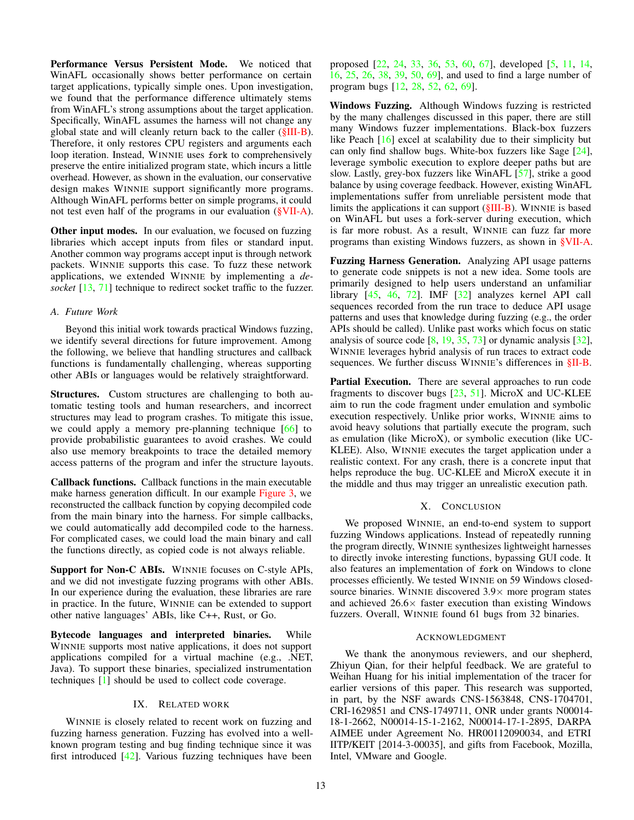Performance Versus Persistent Mode. We noticed that WinAFL occasionally shows better performance on certain target applications, typically simple ones. Upon investigation, we found that the performance difference ultimately stems from WinAFL's strong assumptions about the target application. Specifically, WinAFL assumes the harness will not change any global state and will cleanly return back to the caller [\(§III-B\)](#page-3-2). Therefore, it only restores CPU registers and arguments each loop iteration. Instead, WINNIE uses fork to comprehensively preserve the entire initialized program state, which incurs a little overhead. However, as shown in the evaluation, our conservative design makes WINNIE support significantly more programs. Although WinAFL performs better on simple programs, it could not test even half of the programs in our evaluation ( $\gamma$ VII-A).

Other input modes. In our evaluation, we focused on fuzzing libraries which accept inputs from files or standard input. Another common way programs accept input is through network packets. WINNIE supports this case. To fuzz these network applications, we extended WINNIE by implementing a *desocket* [\[13,](#page-13-36) [71\]](#page-14-18) technique to redirect socket traffic to the fuzzer.

# <span id="page-12-0"></span>*A. Future Work*

Beyond this initial work towards practical Windows fuzzing, we identify several directions for future improvement. Among the following, we believe that handling structures and callback functions is fundamentally challenging, whereas supporting other ABIs or languages would be relatively straightforward.

Structures. Custom structures are challenging to both automatic testing tools and human researchers, and incorrect structures may lead to program crashes. To mitigate this issue, we could apply a memory pre-planning technique [\[66\]](#page-14-19) to provide probabilistic guarantees to avoid crashes. We could also use memory breakpoints to trace the detailed memory access patterns of the program and infer the structure layouts.

Callback functions. Callback functions in the main executable make harness generation difficult. In our example [Figure 3,](#page-3-0) we reconstructed the callback function by copying decompiled code from the main binary into the harness. For simple callbacks, we could automatically add decompiled code to the harness. For complicated cases, we could load the main binary and call the functions directly, as copied code is not always reliable.

Support for Non-C ABIs. WINNIE focuses on C-style APIs, and we did not investigate fuzzing programs with other ABIs. In our experience during the evaluation, these libraries are rare in practice. In the future, WINNIE can be extended to support other native languages' ABIs, like C++, Rust, or Go.

Bytecode languages and interpreted binaries. While WINNIE supports most native applications, it does not support applications compiled for a virtual machine (e.g., .NET, Java). To support these binaries, specialized instrumentation techniques [\[1\]](#page-13-37) should be used to collect code coverage.

# IX. RELATED WORK

WINNIE is closely related to recent work on fuzzing and fuzzing harness generation. Fuzzing has evolved into a wellknown program testing and bug finding technique since it was first introduced [\[42\]](#page-13-0). Various fuzzing techniques have been

proposed [\[22,](#page-13-19) [24,](#page-13-38) [33,](#page-13-39) [36,](#page-13-40) [53,](#page-14-3) [60,](#page-14-4) [67\]](#page-14-6), developed [\[5,](#page-13-41) [11,](#page-13-42) [14,](#page-13-18) [16,](#page-13-23) [25,](#page-13-22) [26,](#page-13-43) [38,](#page-13-44) [39,](#page-13-20) [50,](#page-13-21) [69\]](#page-14-12), and used to find a large number of program bugs [\[12,](#page-13-1) [28,](#page-13-2) [52,](#page-14-1) [62,](#page-14-2) [69\]](#page-14-12).

Windows Fuzzing. Although Windows fuzzing is restricted by the many challenges discussed in this paper, there are still many Windows fuzzer implementations. Black-box fuzzers like Peach [\[16\]](#page-13-23) excel at scalability due to their simplicity but can only find shallow bugs. White-box fuzzers like Sage [\[24\]](#page-13-38), leverage symbolic execution to explore deeper paths but are slow. Lastly, grey-box fuzzers like WinAFL [\[57\]](#page-14-13), strike a good balance by using coverage feedback. However, existing WinAFL implementations suffer from unreliable persistent mode that limits the applications it can support [\(§III-B\)](#page-3-2). WINNIE is based on WinAFL but uses a fork-server during execution, which is far more robust. As a result, WINNIE can fuzz far more programs than existing Windows fuzzers, as shown in [§VII-A.](#page-8-0)

Fuzzing Harness Generation. Analyzing API usage patterns to generate code snippets is not a new idea. Some tools are primarily designed to help users understand an unfamiliar library [\[45,](#page-13-45) [46,](#page-13-46) [72\]](#page-14-20). IMF [\[32\]](#page-13-47) analyzes kernel API call sequences recorded from the run trace to deduce API usage patterns and uses that knowledge during fuzzing (e.g., the order APIs should be called). Unlike past works which focus on static analysis of source code [\[8,](#page-13-12) [19,](#page-13-48) [35,](#page-13-13) [73\]](#page-14-21) or dynamic analysis [\[32\]](#page-13-47), WINNIE leverages hybrid analysis of run traces to extract code sequences. We further discuss WINNIE's differences in [§II-B.](#page-2-3)

Partial Execution. There are several approaches to run code fragments to discover bugs [\[23,](#page-13-49) [51\]](#page-13-50). MicroX and UC-KLEE aim to run the code fragment under emulation and symbolic execution respectively. Unlike prior works, WINNIE aims to avoid heavy solutions that partially execute the program, such as emulation (like MicroX), or symbolic execution (like UC-KLEE). Also, WINNIE executes the target application under a realistic context. For any crash, there is a concrete input that helps reproduce the bug. UC-KLEE and MicroX execute it in the middle and thus may trigger an unrealistic execution path.

# X. CONCLUSION

We proposed WINNIE, an end-to-end system to support fuzzing Windows applications. Instead of repeatedly running the program directly, WINNIE synthesizes lightweight harnesses to directly invoke interesting functions, bypassing GUI code. It also features an implementation of fork on Windows to clone processes efficiently. We tested WINNIE on 59 Windows closedsource binaries. WINNIE discovered  $3.9\times$  more program states and achieved  $26.6\times$  faster execution than existing Windows fuzzers. Overall, WINNIE found 61 bugs from 32 binaries.

# ACKNOWLEDGMENT

We thank the anonymous reviewers, and our shepherd, Zhiyun Qian, for their helpful feedback. We are grateful to Weihan Huang for his initial implementation of the tracer for earlier versions of this paper. This research was supported, in part, by the NSF awards CNS-1563848, CNS-1704701, CRI-1629851 and CNS-1749711, ONR under grants N00014- 18-1-2662, N00014-15-1-2162, N00014-17-1-2895, DARPA AIMEE under Agreement No. HR00112090034, and ETRI IITP/KEIT [2014-3-00035], and gifts from Facebook, Mozilla, Intel, VMware and Google.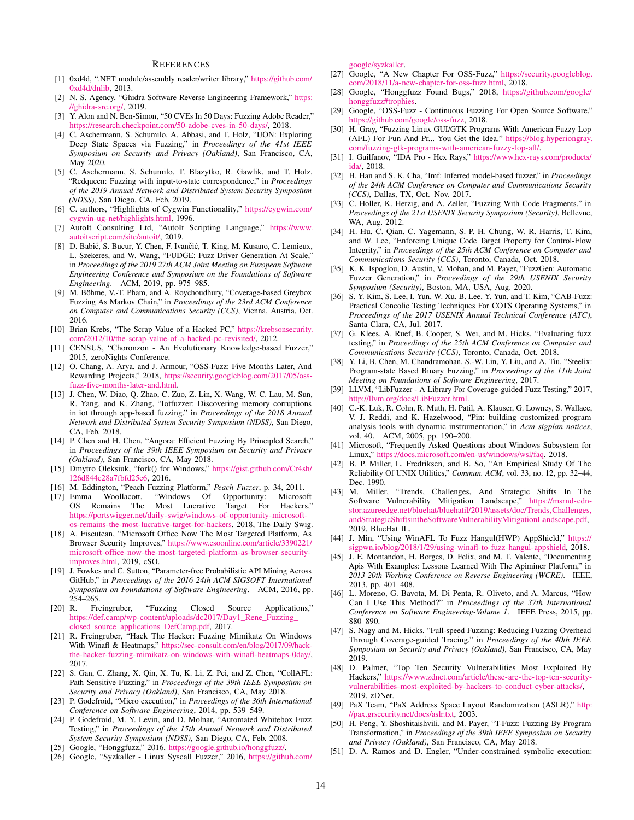#### **REFERENCES**

- <span id="page-13-37"></span>[1] 0xd4d, ".NET module/assembly reader/writer library," [https://github.com/](https://github.com/0xd4d/dnlib) [0xd4d/dnlib,](https://github.com/0xd4d/dnlib) 2013.
- <span id="page-13-27"></span>[2] N. S. Agency, "Ghidra Software Reverse Engineering Framework," [https:](https://ghidra-sre.org/) [//ghidra-sre.org/,](https://ghidra-sre.org/) 2019.
- <span id="page-13-14"></span>[3] Y. Alon and N. Ben-Simon, "50 CVEs In 50 Days: Fuzzing Adobe Reader," [https://research.checkpoint.com/50-adobe-cves-in-50-days/,](https://research.checkpoint.com/50-adobe-cves-in-50-days/) 2018.
- <span id="page-13-3"></span>[4] C. Aschermann, S. Schumilo, A. Abbasi, and T. Holz, "IJON: Exploring Deep State Spaces via Fuzzing," in *Proceedings of the 41st IEEE Symposium on Security and Privacy (Oakland)*, San Francisco, CA, May 2020.
- <span id="page-13-41"></span>[5] C. Aschermann, S. Schumilo, T. Blazytko, R. Gawlik, and T. Holz, "Redqueen: Fuzzing with input-to-state correspondence," in *Proceedings of the 2019 Annual Network and Distributed System Security Symposium (NDSS)*, San Diego, CA, Feb. 2019.
- <span id="page-13-30"></span>[6] C. authors, "Highlights of Cygwin Functionality," [https://cygwin.com/](https://cygwin.com/cygwin-ug-net/highlights.html) [cygwin-ug-net/highlights.html,](https://cygwin.com/cygwin-ug-net/highlights.html) 1996.
- <span id="page-13-10"></span>[7] AutoIt Consulting Ltd, "AutoIt Scripting Language," [https://www.](https://www.autoitscript.com/site/autoit/) [autoitscript.com/site/autoit/,](https://www.autoitscript.com/site/autoit/) 2019.
- <span id="page-13-12"></span>[8] D. Babić, S. Bucur, Y. Chen, F. Ivančić, T. King, M. Kusano, C. Lemieux, L. Szekeres, and W. Wang, "FUDGE: Fuzz Driver Generation At Scale," in *Proceedings of the 2019 27th ACM Joint Meeting on European Software Engineering Conference and Symposium on the Foundations of Software Engineering*. ACM, 2019, pp. 975–985.
- <span id="page-13-4"></span>[9] M. Böhme, V.-T. Pham, and A. Roychoudhury, "Coverage-based Greybox Fuzzing As Markov Chain," in *Proceedings of the 23rd ACM Conference on Computer and Communications Security (CCS)*, Vienna, Austria, Oct. 2016.
- <span id="page-13-6"></span>[10] Brian Krebs, "The Scrap Value of a Hacked PC," [https://krebsonsecurity.](https://krebsonsecurity.com/2012/10/the-scrap-value-of-a-hacked-pc-revisited/) [com/2012/10/the-scrap-value-of-a-hacked-pc-revisited/,](https://krebsonsecurity.com/2012/10/the-scrap-value-of-a-hacked-pc-revisited/) 2012.
- <span id="page-13-42"></span>[11] CENSUS, "Choronzon - An Evolutionary Knowledge-based Fuzzer," 2015, zeroNights Conference.
- <span id="page-13-1"></span>[12] O. Chang, A. Arya, and J. Armour, "OSS-Fuzz: Five Months Later, And Rewarding Projects," 2018, [https://security.googleblog.com/2017/05/oss](https://security.googleblog.com/2017/05/oss-fuzz-five-months-later-and.html)[fuzz-five-months-later-and.html.](https://security.googleblog.com/2017/05/oss-fuzz-five-months-later-and.html)
- <span id="page-13-36"></span>[13] J. Chen, W. Diao, Q. Zhao, C. Zuo, Z. Lin, X. Wang, W. C. Lau, M. Sun, R. Yang, and K. Zhang, "Iotfuzzer: Discovering memory corruptions in iot through app-based fuzzing." in *Proceedings of the 2018 Annual Network and Distributed System Security Symposium (NDSS)*, San Diego, CA, Feb. 2018.
- <span id="page-13-18"></span>[14] P. Chen and H. Chen, "Angora: Efficient Fuzzing By Principled Search," in *Proceedings of the 39th IEEE Symposium on Security and Privacy (Oakland)*, San Francisco, CA, May 2018.
- <span id="page-13-29"></span>[15] Dmytro Oleksiuk, "fork() for Windows," [https://gist.github.com/Cr4sh/](https://gist.github.com/Cr4sh/126d844c28a7fbfd25c6) [126d844c28a7fbfd25c6,](https://gist.github.com/Cr4sh/126d844c28a7fbfd25c6) 2016.
- <span id="page-13-23"></span>[16] M. Eddington, "Peach Fuzzing Platform," *Peach Fuzzer*, p. 34, 2011.
- <span id="page-13-7"></span>[17] Emma Woollacott, "Windows Of Opportunity: Microsoft OS Remains The Most Lucrative Target For Hackers," [https://portswigger.net/daily-swig/windows-of-opportunity-microsoft](https://portswigger.net/daily-swig/windows-of-opportunity-microsoft-os-remains-the-most-lucrative-target-for-hackers)[os-remains-the-most-lucrative-target-for-hackers,](https://portswigger.net/daily-swig/windows-of-opportunity-microsoft-os-remains-the-most-lucrative-target-for-hackers) 2018, The Daily Swig.
- <span id="page-13-8"></span>[18] A. Fiscutean, "Microsoft Office Now The Most Targeted Platform, As Browser Security Improves," [https://www.csoonline.com/article/3390221/](https://www.csoonline.com/article/3390221/microsoft-office-now-the-most-targeted-platform-as-browser-security-improves.html) [microsoft-office-now-the-most-targeted-platform-as-browser-security](https://www.csoonline.com/article/3390221/microsoft-office-now-the-most-targeted-platform-as-browser-security-improves.html)[improves.html,](https://www.csoonline.com/article/3390221/microsoft-office-now-the-most-targeted-platform-as-browser-security-improves.html) 2019, cSO.
- <span id="page-13-48"></span>[19] J. Fowkes and C. Sutton, "Parameter-free Probabilistic API Mining Across GitHub," in *Proceedings of the 2016 24th ACM SIGSOFT International Symposium on Foundations of Software Engineering*. ACM, 2016, pp. 254–265.
- <span id="page-13-11"></span>[20] R. Freingruber, "Fuzzing Closed Source Applications," [https://def.camp/wp-content/uploads/dc2017/Day1\\_Rene\\_Fuzzing\\_](https://def.camp/wp-content/uploads/dc2017/Day 1_Rene_Fuzzing_closed_source_applications_DefCamp.pdf) [closed\\_source\\_applications\\_DefCamp.pdf,](https://def.camp/wp-content/uploads/dc2017/Day 1_Rene_Fuzzing_closed_source_applications_DefCamp.pdf) 2017.
- <span id="page-13-15"></span>[21] R. Freingruber, "Hack The Hacker: Fuzzing Mimikatz On Windows With Winafl & Heatmaps," [https://sec-consult.com/en/blog/2017/09/hack](https://sec-consult.com/en/blog/2017/09/hack-the-hacker-fuzzing-mimikatz-on-windows-with-winafl-heatmaps-0day/)[the-hacker-fuzzing-mimikatz-on-windows-with-winafl-heatmaps-0day/,](https://sec-consult.com/en/blog/2017/09/hack-the-hacker-fuzzing-mimikatz-on-windows-with-winafl-heatmaps-0day/) 2017.
- <span id="page-13-19"></span>[22] S. Gan, C. Zhang, X. Qin, X. Tu, K. Li, Z. Pei, and Z. Chen, "CollAFL: Path Sensitive Fuzzing," in *Proceedings of the 39th IEEE Symposium on Security and Privacy (Oakland)*, San Francisco, CA, May 2018.
- <span id="page-13-49"></span>[23] P. Godefroid, "Micro execution," in *Proceedings of the 36th International Conference on Software Engineering*, 2014, pp. 539–549.
- <span id="page-13-38"></span>[24] P. Godefroid, M. Y. Levin, and D. Molnar, "Automated Whitebox Fuzz Testing," in *Proceedings of the 15th Annual Network and Distributed System Security Symposium (NDSS)*, San Diego, CA, Feb. 2008.
- <span id="page-13-22"></span>[25] Google, "Honggfuzz," 2016, [https://google.github.io/honggfuzz/.](https://google.github.io/honggfuzz/)
- <span id="page-13-43"></span>[26] Google, "Syzkaller - Linux Syscall Fuzzer," 2016, [https://github.com/](https://github.com/google/syzkaller)

[google/syzkaller.](https://github.com/google/syzkaller)

- <span id="page-13-17"></span>[27] Google, "A New Chapter For OSS-Fuzz," [https://security.googleblog.](https://security.googleblog.com/2018/11/a-new-chapter-for-oss-fuzz.html) [com/2018/11/a-new-chapter-for-oss-fuzz.html,](https://security.googleblog.com/2018/11/a-new-chapter-for-oss-fuzz.html) 2018.
- <span id="page-13-2"></span>[28] Google, "Honggfuzz Found Bugs," 2018, [https://github.com/google/](https://github.com/google/honggfuzz#trophies) [honggfuzz#trophies.](https://github.com/google/honggfuzz#trophies)
- <span id="page-13-25"></span>[29] Google, "OSS-Fuzz - Continuous Fuzzing For Open Source Software," [https://github.com/google/oss-fuzz,](https://github.com/google/oss-fuzz) 2018.
- <span id="page-13-24"></span>[30] H. Gray, "Fuzzing Linux GUI/GTK Programs With American Fuzzy Lop (AFL) For Fun And Pr... You Get the Idea." [https://blog.hyperiongray.](https://blog.hyperiongray.com/fuzzing-gtk-programs-with-american-fuzzy-lop-afl/) [com/fuzzing-gtk-programs-with-american-fuzzy-lop-afl/.](https://blog.hyperiongray.com/fuzzing-gtk-programs-with-american-fuzzy-lop-afl/)
- <span id="page-13-26"></span>[31] I. Guilfanov, "IDA Pro - Hex Rays," [https://www.hex-rays.com/products/](https://www.hex-rays.com/products/ida/) [ida/,](https://www.hex-rays.com/products/ida/) 2018.
- <span id="page-13-47"></span>[32] H. Han and S. K. Cha, "Imf: Inferred model-based fuzzer," in *Proceedings of the 24th ACM Conference on Computer and Communications Security (CCS)*, Dallas, TX, Oct.–Nov. 2017.
- <span id="page-13-39"></span>[33] C. Holler, K. Herzig, and A. Zeller, "Fuzzing With Code Fragments." in *Proceedings of the 21st USENIX Security Symposium (Security)*, Bellevue, WA, Aug. 2012.
- <span id="page-13-34"></span>[34] H. Hu, C. Qian, C. Yagemann, S. P. H. Chung, W. R. Harris, T. Kim, and W. Lee, "Enforcing Unique Code Target Property for Control-Flow Integrity," in *Proceedings of the 25th ACM Conference on Computer and Communications Security (CCS)*, Toronto, Canada, Oct. 2018.
- <span id="page-13-13"></span>[35] K. K. Ispoglou, D. Austin, V. Mohan, and M. Payer, "FuzzGen: Automatic Fuzzer Generation," in *Proceedings of the 29th USENIX Security Symposium (Security)*, Boston, MA, USA, Aug. 2020.
- <span id="page-13-40"></span>[36] S. Y. Kim, S. Lee, I. Yun, W. Xu, B. Lee, Y. Yun, and T. Kim, "CAB-Fuzz: Practical Concolic Testing Techniques For COTS Operating Systems," in *Proceedings of the 2017 USENIX Annual Technical Conference (ATC)*, Santa Clara, CA, Jul. 2017.
- <span id="page-13-35"></span>[37] G. Klees, A. Ruef, B. Cooper, S. Wei, and M. Hicks, "Evaluating fuzz testing," in *Proceedings of the 25th ACM Conference on Computer and Communications Security (CCS)*, Toronto, Canada, Oct. 2018.
- <span id="page-13-44"></span>[38] Y. Li, B. Chen, M. Chandramohan, S.-W. Lin, Y. Liu, and A. Tiu, "Steelix: Program-state Based Binary Fuzzing," in *Proceedings of the 11th Joint Meeting on Foundations of Software Engineering*, 2017.
- <span id="page-13-20"></span>[39] LLVM, "LibFuzzer - A Library For Coverage-guided Fuzz Testing," 2017, [http://llvm.org/docs/LibFuzzer.html.](http://llvm.org/docs/LibFuzzer.html)
- <span id="page-13-32"></span>[40] C.-K. Luk, R. Cohn, R. Muth, H. Patil, A. Klauser, G. Lowney, S. Wallace, V. J. Reddi, and K. Hazelwood, "Pin: building customized program analysis tools with dynamic instrumentation," in *Acm sigplan notices*, vol. 40. ACM, 2005, pp. 190–200.
- <span id="page-13-31"></span>[41] Microsoft, "Frequently Asked Questions about Windows Subsystem for Linux," [https://docs.microsoft.com/en-us/windows/wsl/faq,](https://docs.microsoft.com/en-us/windows/wsl/faq) 2018.
- <span id="page-13-0"></span>[42] B. P. Miller, L. Fredriksen, and B. So, "An Empirical Study Of The Reliability Of UNIX Utilities," *Commun. ACM*, vol. 33, no. 12, pp. 32–44, Dec. 1990.
- <span id="page-13-5"></span>[43] M. Miller, "Trends, Challenges, And Strategic Shifts In The Software Vulnerability Mitigation Landscape," [https://msrnd-cdn](https://msrnd-cdn-stor.azureedge.net/bluehat/bluehatil/2019/assets/doc/Trends, Challenges, and Strategic Shifts in the Software Vulnerability Mitigation Landscape.pdf)[stor.azureedge.net/bluehat/bluehatil/2019/assets/doc/Trends,Challenges,](https://msrnd-cdn-stor.azureedge.net/bluehat/bluehatil/2019/assets/doc/Trends, Challenges, and Strategic Shifts in the Software Vulnerability Mitigation Landscape.pdf) [andStrategicShiftsintheSoftwareVulnerabilityMitigationLandscape.pdf,](https://msrnd-cdn-stor.azureedge.net/bluehat/bluehatil/2019/assets/doc/Trends, Challenges, and Strategic Shifts in the Software Vulnerability Mitigation Landscape.pdf) 2019, BlueHat IL.
- <span id="page-13-16"></span>[44] J. Min, "Using WinAFL To Fuzz Hangul(HWP) AppShield," [https://](https://sigpwn.io/blog/2018/1/29/using-winafl-to-fuzz-hangul-appshield) [sigpwn.io/blog/2018/1/29/using-winafl-to-fuzz-hangul-appshield,](https://sigpwn.io/blog/2018/1/29/using-winafl-to-fuzz-hangul-appshield) 2018.
- <span id="page-13-45"></span>[45] J. E. Montandon, H. Borges, D. Felix, and M. T. Valente, "Documenting Apis With Examples: Lessons Learned With The Apiminer Platform," in *2013 20th Working Conference on Reverse Engineering (WCRE)*. IEEE, 2013, pp. 401–408.
- <span id="page-13-46"></span>[46] L. Moreno, G. Bavota, M. Di Penta, R. Oliveto, and A. Marcus, "How Can I Use This Method?" in *Proceedings of the 37th International Conference on Software Engineering-Volume 1*. IEEE Press, 2015, pp. 880–890.
- <span id="page-13-33"></span>[47] S. Nagy and M. Hicks, "Full-speed Fuzzing: Reducing Fuzzing Overhead Through Coverage-guided Tracing," in *Proceedings of the 40th IEEE Symposium on Security and Privacy (Oakland)*, San Francisco, CA, May 2019.
- <span id="page-13-9"></span>[48] D. Palmer, "Top Ten Security Vulnerabilities Most Exploited By Hackers," [https://www.zdnet.com/article/these-are-the-top-ten-security](https://www.zdnet.com/article/these-are-the-top-ten-security-vulnerabilities-most-exploited-by-hackers-to-conduct-cyber-attacks/)[vulnerabilities-most-exploited-by-hackers-to-conduct-cyber-attacks/,](https://www.zdnet.com/article/these-are-the-top-ten-security-vulnerabilities-most-exploited-by-hackers-to-conduct-cyber-attacks/) 2019, zDNet.
- <span id="page-13-28"></span>[49] PaX Team, "PaX Address Space Layout Randomization (ASLR)," [http:](http://pax.grsecurity.net/docs/aslr.txt) [//pax.grsecurity.net/docs/aslr.txt,](http://pax.grsecurity.net/docs/aslr.txt) 2003.
- <span id="page-13-21"></span>[50] H. Peng, Y. Shoshitaishvili, and M. Payer, "T-Fuzz: Fuzzing By Program Transformation," in *Proceedings of the 39th IEEE Symposium on Security and Privacy (Oakland)*, San Francisco, CA, May 2018.
- <span id="page-13-50"></span>[51] D. A. Ramos and D. Engler, "Under-constrained symbolic execution: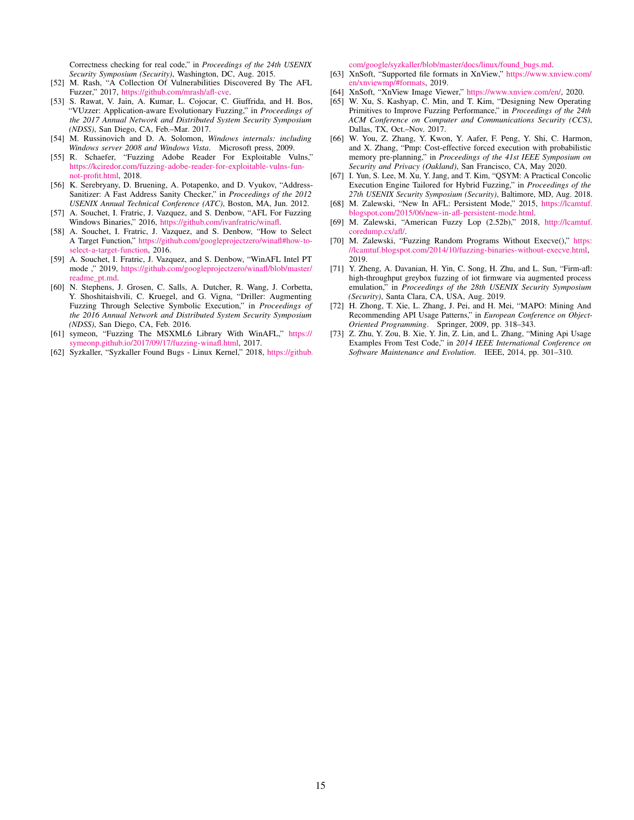Correctness checking for real code," in *Proceedings of the 24th USENIX Security Symposium (Security)*, Washington, DC, Aug. 2015.

- <span id="page-14-1"></span>[52] M. Rash, "A Collection Of Vulnerabilities Discovered By The AFL Fuzzer," 2017, [https://github.com/mrash/afl-cve.](https://github.com/mrash/afl-cve)
- <span id="page-14-3"></span>[53] S. Rawat, V. Jain, A. Kumar, L. Cojocar, C. Giuffrida, and H. Bos, "VUzzer: Application-aware Evolutionary Fuzzing," in *Proceedings of the 2017 Annual Network and Distributed System Security Symposium (NDSS)*, San Diego, CA, Feb.–Mar. 2017.
- <span id="page-14-16"></span>[54] M. Russinovich and D. A. Solomon, *Windows internals: including Windows server 2008 and Windows Vista*. Microsoft press, 2009.
- <span id="page-14-8"></span>[55] R. Schaefer, "Fuzzing Adobe Reader For Exploitable Vulns," [https://kciredor.com/fuzzing-adobe-reader-for-exploitable-vulns-fun](https://kciredor.com/fuzzing-adobe-reader-for-exploitable-vulns-fun-not-profit.html)[not-profit.html,](https://kciredor.com/fuzzing-adobe-reader-for-exploitable-vulns-fun-not-profit.html) 2018.
- <span id="page-14-0"></span>[56] K. Serebryany, D. Bruening, A. Potapenko, and D. Vyukov, "Address-Sanitizer: A Fast Address Sanity Checker," in *Proceedings of the 2012 USENIX Annual Technical Conference (ATC)*, Boston, MA, Jun. 2012.
- <span id="page-14-13"></span>[57] A. Souchet, I. Fratric, J. Vazquez, and S. Denbow, "AFL For Fuzzing Windows Binaries," 2016, [https://github.com/ivanfratric/winafl.](https://github.com/ivanfratric/winafl)
- <span id="page-14-15"></span>[58] A. Souchet, I. Fratric, J. Vazquez, and S. Denbow, "How to Select A Target Function," [https://github.com/googleprojectzero/winafl#how-to](https://github.com/googleprojectzero/winafl#how-to-select-a-target-function)[select-a-target-function,](https://github.com/googleprojectzero/winafl#how-to-select-a-target-function) 2016.
- <span id="page-14-17"></span>[59] A. Souchet, I. Fratric, J. Vazquez, and S. Denbow, "WinAFL Intel PT mode ," 2019, [https://github.com/googleprojectzero/winafl/blob/master/](https://github.com/googleprojectzero/winafl/blob/master/readme_pt.md) [readme\\_pt.md.](https://github.com/googleprojectzero/winafl/blob/master/readme_pt.md)
- <span id="page-14-4"></span>[60] N. Stephens, J. Grosen, C. Salls, A. Dutcher, R. Wang, J. Corbetta, Y. Shoshitaishvili, C. Kruegel, and G. Vigna, "Driller: Augmenting Fuzzing Through Selective Symbolic Execution," in *Proceedings of the 2016 Annual Network and Distributed System Security Symposium (NDSS)*, San Diego, CA, Feb. 2016.
- <span id="page-14-9"></span>[61] symeon, "Fuzzing The MSXML6 Library With WinAFL," [https://](https://symeonp.github.io/2017/09/17/fuzzing-winafl.html) [symeonp.github.io/2017/09/17/fuzzing-winafl.html,](https://symeonp.github.io/2017/09/17/fuzzing-winafl.html) 2017.
- <span id="page-14-2"></span>[62] Syzkaller, "Syzkaller Found Bugs - Linux Kernel," 2018, [https://github.](https://github.com/google/syzkaller/blob/master/docs/linux/found_bugs.md)

[com/google/syzkaller/blob/master/docs/linux/found\\_bugs.md.](https://github.com/google/syzkaller/blob/master/docs/linux/found_bugs.md)

- <span id="page-14-14"></span>[63] XnSoft, "Supported file formats in XnView," [https://www.xnview.com/](https://www.xnview.com/en/xnviewmp/#formats) [en/xnviewmp/#formats,](https://www.xnview.com/en/xnviewmp/#formats) 2019.
- <span id="page-14-7"></span>[64] XnSoft, "XnView Image Viewer," [https://www.xnview.com/en/,](https://www.xnview.com/en/) 2020.
- <span id="page-14-5"></span>[65] W. Xu, S. Kashyap, C. Min, and T. Kim, "Designing New Operating Primitives to Improve Fuzzing Performance," in *Proceedings of the 24th ACM Conference on Computer and Communications Security (CCS)*, Dallas, TX, Oct.–Nov. 2017.
- <span id="page-14-19"></span>[66] W. You, Z. Zhang, Y. Kwon, Y. Aafer, F. Peng, Y. Shi, C. Harmon, and X. Zhang, "Pmp: Cost-effective forced execution with probabilistic memory pre-planning," in *Proceedings of the 41st IEEE Symposium on Security and Privacy (Oakland)*, San Francisco, CA, May 2020.
- <span id="page-14-6"></span>[67] I. Yun, S. Lee, M. Xu, Y. Jang, and T. Kim, "QSYM: A Practical Concolic Execution Engine Tailored for Hybrid Fuzzing," in *Proceedings of the 27th USENIX Security Symposium (Security)*, Baltimore, MD, Aug. 2018.
- <span id="page-14-11"></span>[68] M. Zalewski, "New In AFL: Persistent Mode," 2015, [https://lcamtuf.](https://lcamtuf.blogspot.com/2015/06/new-in-afl-persistent-mode.html) [blogspot.com/2015/06/new-in-afl-persistent-mode.html.](https://lcamtuf.blogspot.com/2015/06/new-in-afl-persistent-mode.html)
- <span id="page-14-12"></span>[69] M. Zalewski, "American Fuzzy Lop (2.52b)," 2018, [http://lcamtuf.](http://lcamtuf.coredump.cx/afl/) [coredump.cx/afl/.](http://lcamtuf.coredump.cx/afl/)
- <span id="page-14-10"></span>[70] M. Zalewski, "Fuzzing Random Programs Without Execve()," [https:](https://lcamtuf.blogspot.com/2014/10/fuzzing-binaries-without-execve.html) [//lcamtuf.blogspot.com/2014/10/fuzzing-binaries-without-execve.html,](https://lcamtuf.blogspot.com/2014/10/fuzzing-binaries-without-execve.html) 2019.
- <span id="page-14-18"></span>[71] Y. Zheng, A. Davanian, H. Yin, C. Song, H. Zhu, and L. Sun, "Firm-afl: high-throughput greybox fuzzing of iot firmware via augmented process emulation," in *Proceedings of the 28th USENIX Security Symposium (Security)*, Santa Clara, CA, USA, Aug. 2019.
- <span id="page-14-20"></span>[72] H. Zhong, T. Xie, L. Zhang, J. Pei, and H. Mei, "MAPO: Mining And Recommending API Usage Patterns," in *European Conference on Object-Oriented Programming*. Springer, 2009, pp. 318–343.
- <span id="page-14-21"></span>[73] Z. Zhu, Y. Zou, B. Xie, Y. Jin, Z. Lin, and L. Zhang, "Mining Api Usage Examples From Test Code," in *2014 IEEE International Conference on Software Maintenance and Evolution*. IEEE, 2014, pp. 301–310.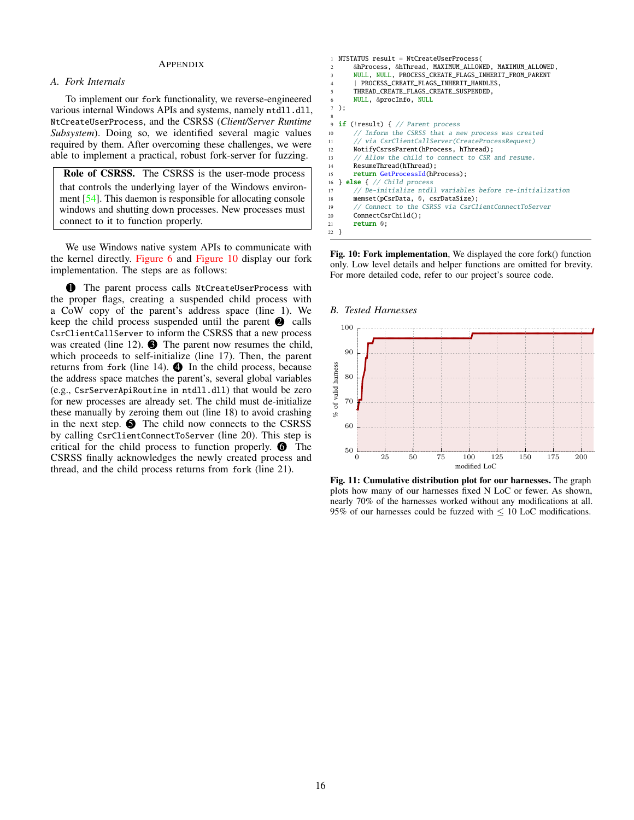## APPENDIX

## <span id="page-15-0"></span>*A. Fork Internals*

To implement our fork functionality, we reverse-engineered various internal Windows APIs and systems, namely ntdll.dll, NtCreateUserProcess, and the CSRSS (*Client/Server Runtime Subsystem*). Doing so, we identified several magic values required by them. After overcoming these challenges, we were able to implement a practical, robust fork-server for fuzzing.

Role of CSRSS. The CSRSS is the user-mode process that controls the underlying layer of the Windows environment [\[54\]](#page-14-16). This daemon is responsible for allocating console windows and shutting down processes. New processes must connect to it to function properly.

We use Windows native system APIs to communicate with the kernel directly. [Figure 6](#page-7-0) and [Figure 10](#page-15-2) display our fork implementation. The steps are as follows:

**1** The parent process calls NtCreateUserProcess with the proper flags, creating a suspended child process with a CoW copy of the parent's address space (line 1). We keep the child process suspended until the parent  $\bullet$  calls CsrClientCallServer to inform the CSRSS that a new process was created (line 12).  $\bullet$  The parent now resumes the child, which proceeds to self-initialize (line 17). Then, the parent returns from fork (line 14).  $\bullet$  In the child process, because the address space matches the parent's, several global variables (e.g., CsrServerApiRoutine in ntdll.dll) that would be zero for new processes are already set. The child must de-initialize these manually by zeroing them out (line 18) to avoid crashing in the next step.  $\bigcirc$  The child now connects to the CSRSS by calling CsrClientConnectToServer (line 20). This step is critical for the child process to function properly.  $\bullet$  The CSRSS finally acknowledges the newly created process and thread, and the child process returns from fork (line 21).

```
NTSTATUS result = NtCreateUserProcess(
       2 &hProcess, &hThread, MAXIMUM_ALLOWED, MAXIMUM_ALLOWED,
       3 NULL, NULL, PROCESS_CREATE_FLAGS_INHERIT_FROM_PARENT
        PROCESS CREATE FLAGS INHERIT HANDLES.
       THREAD_CREATE_FLAGS_CREATE_SUSPENDED,
       6 NULL, &procInfo, NULL
  );
 8
9 if (!result) { // Parent process
10 // Inform the CSRSS that a new process was created
11 // via CsrClientCallServer(CreateProcessRequest)
12 NotifyCsrssParent(hProcess, hThread);<br>13 // Allow the child to connect to CSR
       // Allow the child to connect to CSR and resume.
14 ResumeThread(hThread);
15 return GetProcessId(hProcess);
16 } else { // Child process
17 // De-initialize ntdll variables before re-initialization
18 memset(pCsrData, 0, csrDataSize);
19 // Connect to the CSRSS via CsrClientConnectToServer<br>20 ConnectCsrChild():
       ConnectCsrChild();
21 return 0;
22 }
```
Fig. 10: Fork implementation, We displayed the core fork() function only. Low level details and helper functions are omitted for brevity. For more detailed code, refer to our project's source code.

<span id="page-15-1"></span>

Fig. 11: Cumulative distribution plot for our harnesses. The graph plots how many of our harnesses fixed N LoC or fewer. As shown, nearly 70% of the harnesses worked without any modifications at all. 95% of our harnesses could be fuzzed with  $\leq 10$  LoC modifications.